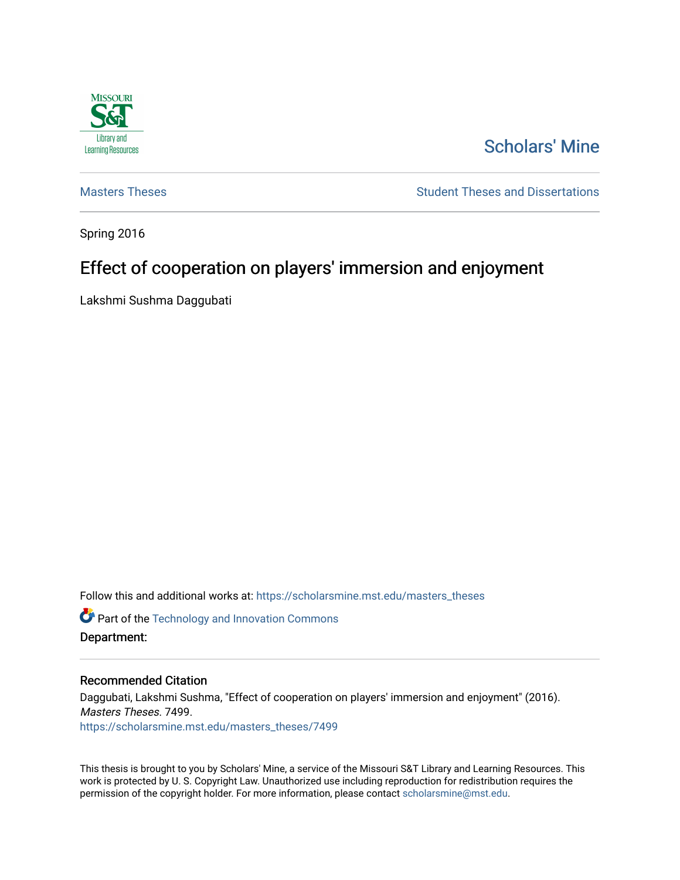

# [Scholars' Mine](https://scholarsmine.mst.edu/)

[Masters Theses](https://scholarsmine.mst.edu/masters_theses) **Student Theses and Dissertations** Student Theses and Dissertations

Spring 2016

# Effect of cooperation on players' immersion and enjoyment

Lakshmi Sushma Daggubati

Follow this and additional works at: [https://scholarsmine.mst.edu/masters\\_theses](https://scholarsmine.mst.edu/masters_theses?utm_source=scholarsmine.mst.edu%2Fmasters_theses%2F7499&utm_medium=PDF&utm_campaign=PDFCoverPages) 

**Part of the [Technology and Innovation Commons](http://network.bepress.com/hgg/discipline/644?utm_source=scholarsmine.mst.edu%2Fmasters_theses%2F7499&utm_medium=PDF&utm_campaign=PDFCoverPages)** Department:

#### Recommended Citation

Daggubati, Lakshmi Sushma, "Effect of cooperation on players' immersion and enjoyment" (2016). Masters Theses. 7499. [https://scholarsmine.mst.edu/masters\\_theses/7499](https://scholarsmine.mst.edu/masters_theses/7499?utm_source=scholarsmine.mst.edu%2Fmasters_theses%2F7499&utm_medium=PDF&utm_campaign=PDFCoverPages) 

This thesis is brought to you by Scholars' Mine, a service of the Missouri S&T Library and Learning Resources. This work is protected by U. S. Copyright Law. Unauthorized use including reproduction for redistribution requires the permission of the copyright holder. For more information, please contact [scholarsmine@mst.edu](mailto:scholarsmine@mst.edu).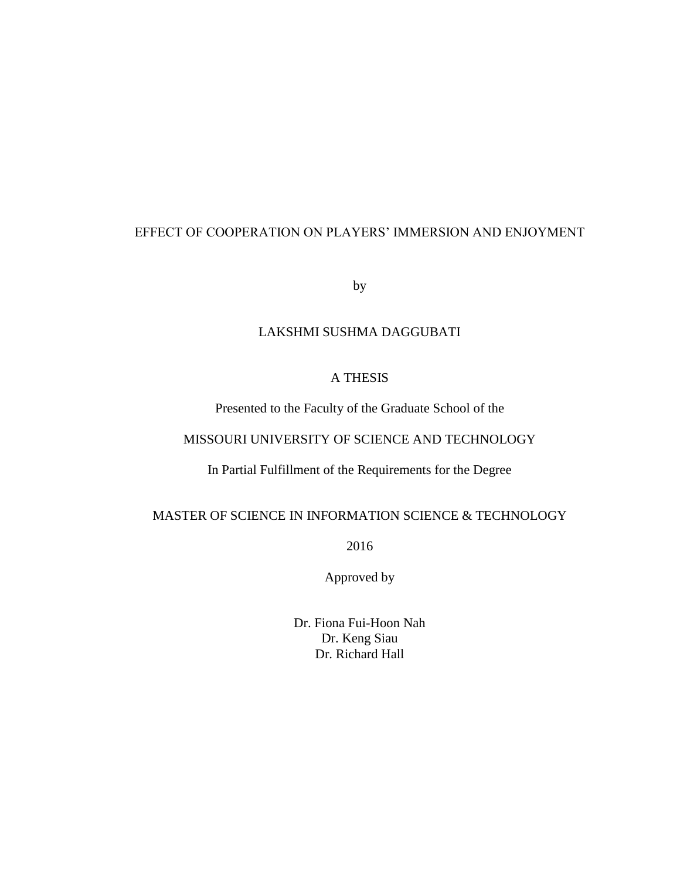# EFFECT OF COOPERATION ON PLAYERS' IMMERSION AND ENJOYMENT

by

# LAKSHMI SUSHMA DAGGUBATI

## A THESIS

Presented to the Faculty of the Graduate School of the

# MISSOURI UNIVERSITY OF SCIENCE AND TECHNOLOGY

In Partial Fulfillment of the Requirements for the Degree

# MASTER OF SCIENCE IN INFORMATION SCIENCE & TECHNOLOGY

2016

Approved by

Dr. Fiona Fui-Hoon Nah Dr. Keng Siau Dr. Richard Hall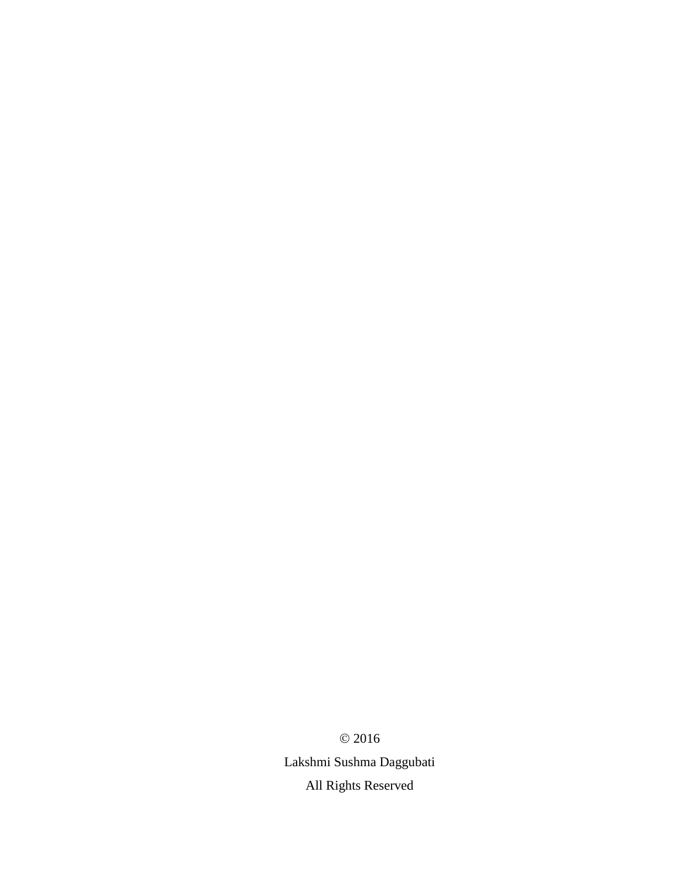© 2016 Lakshmi Sushma Daggubati All Rights Reserved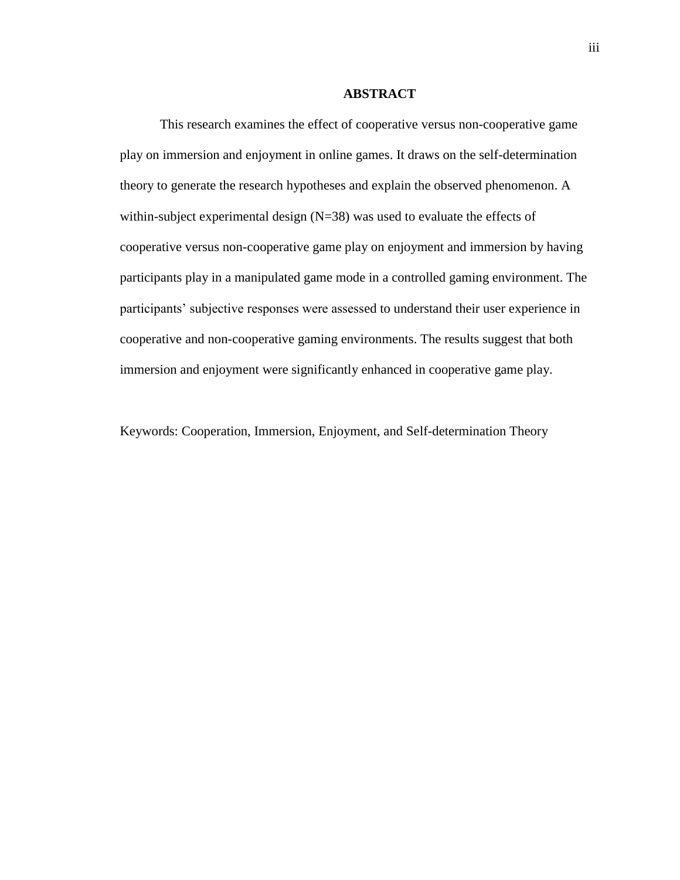#### **ABSTRACT**

This research examines the effect of cooperative versus non-cooperative game play on immersion and enjoyment in online games. It draws on the self-determination theory to generate the research hypotheses and explain the observed phenomenon. A within-subject experimental design  $(N=38)$  was used to evaluate the effects of cooperative versus non-cooperative game play on enjoyment and immersion by having participants play in a manipulated game mode in a controlled gaming environment. The participants' subjective responses were assessed to understand their user experience in cooperative and non-cooperative gaming environments. The results suggest that both immersion and enjoyment were significantly enhanced in cooperative game play.

Keywords: Cooperation, Immersion, Enjoyment, and Self-determination Theory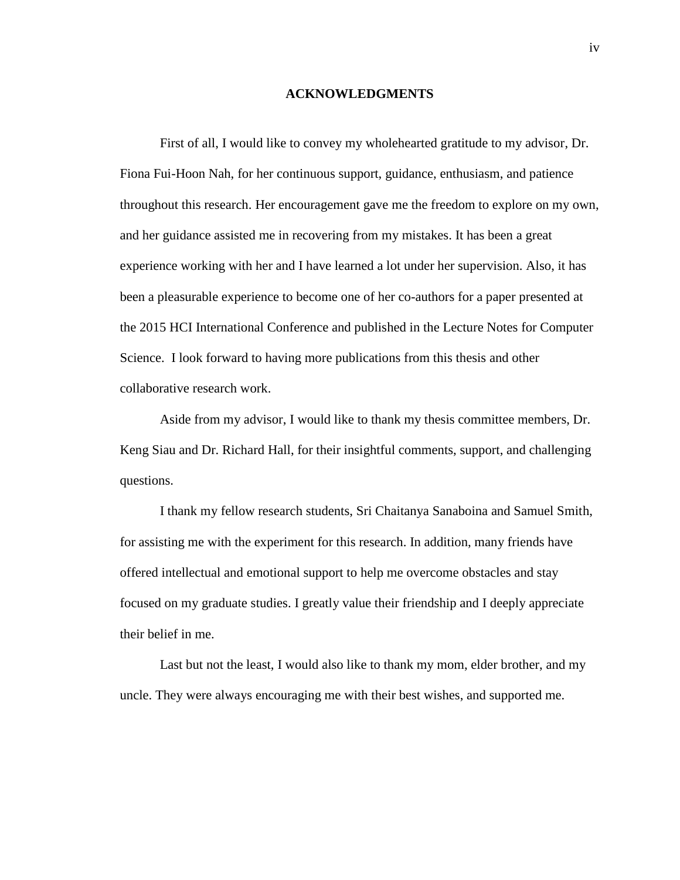#### **ACKNOWLEDGMENTS**

First of all, I would like to convey my wholehearted gratitude to my advisor, Dr. Fiona Fui-Hoon Nah, for her continuous support, guidance, enthusiasm, and patience throughout this research. Her encouragement gave me the freedom to explore on my own, and her guidance assisted me in recovering from my mistakes. It has been a great experience working with her and I have learned a lot under her supervision. Also, it has been a pleasurable experience to become one of her co-authors for a paper presented at the 2015 HCI International Conference and published in the Lecture Notes for Computer Science. I look forward to having more publications from this thesis and other collaborative research work.

Aside from my advisor, I would like to thank my thesis committee members, Dr. Keng Siau and Dr. Richard Hall, for their insightful comments, support, and challenging questions.

I thank my fellow research students, Sri Chaitanya Sanaboina and Samuel Smith, for assisting me with the experiment for this research. In addition, many friends have offered intellectual and emotional support to help me overcome obstacles and stay focused on my graduate studies. I greatly value their friendship and I deeply appreciate their belief in me.

Last but not the least, I would also like to thank my mom, elder brother, and my uncle. They were always encouraging me with their best wishes, and supported me.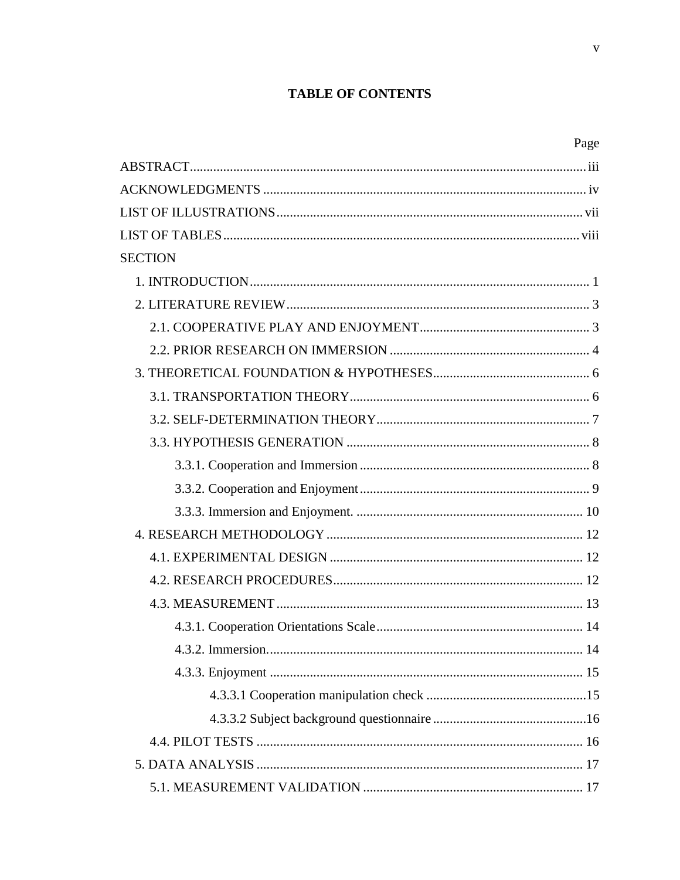# **TABLE OF CONTENTS**

| <b>SECTION</b>    |    |
|-------------------|----|
|                   |    |
|                   |    |
|                   |    |
|                   |    |
|                   |    |
|                   |    |
|                   |    |
|                   |    |
|                   |    |
|                   |    |
|                   |    |
|                   |    |
|                   |    |
|                   |    |
|                   |    |
|                   |    |
| 4.3.2. Immersion. | 14 |
|                   |    |
|                   |    |
|                   |    |
|                   |    |
|                   |    |
|                   |    |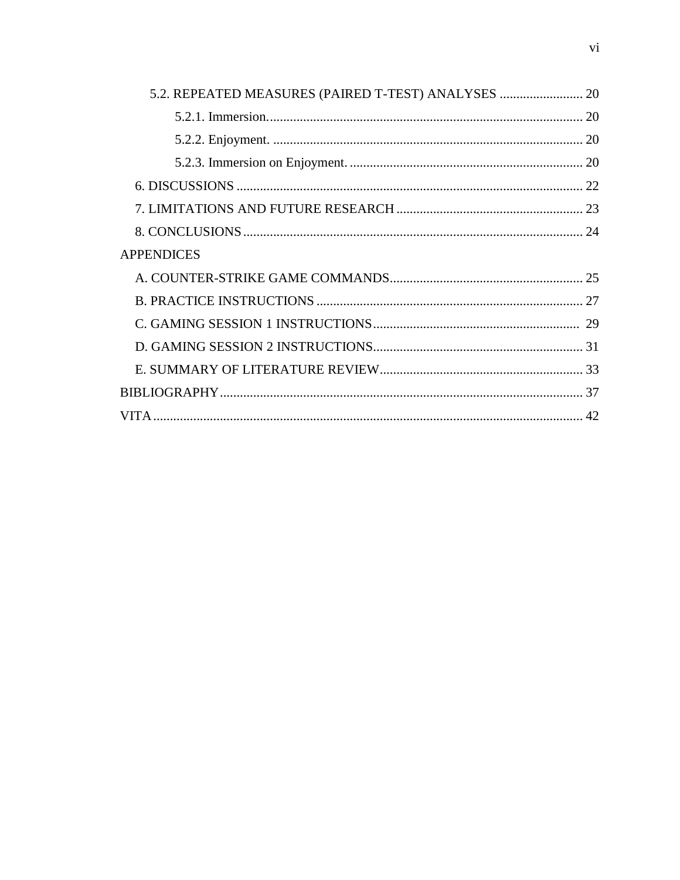| <b>APPENDICES</b> |  |
|-------------------|--|
|                   |  |
|                   |  |
|                   |  |
|                   |  |
|                   |  |
|                   |  |
|                   |  |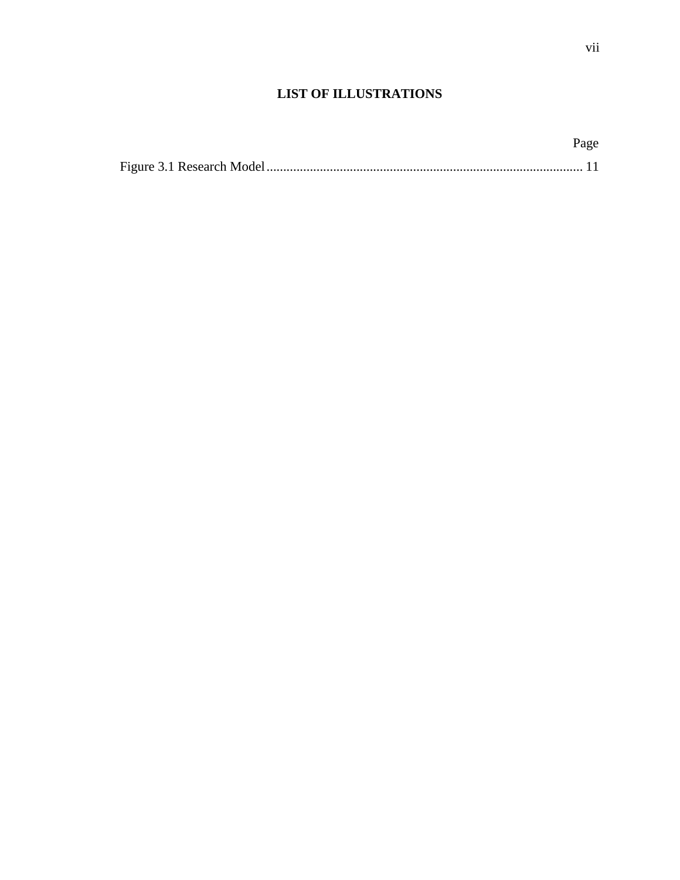# **LIST OF ILLUSTRATIONS**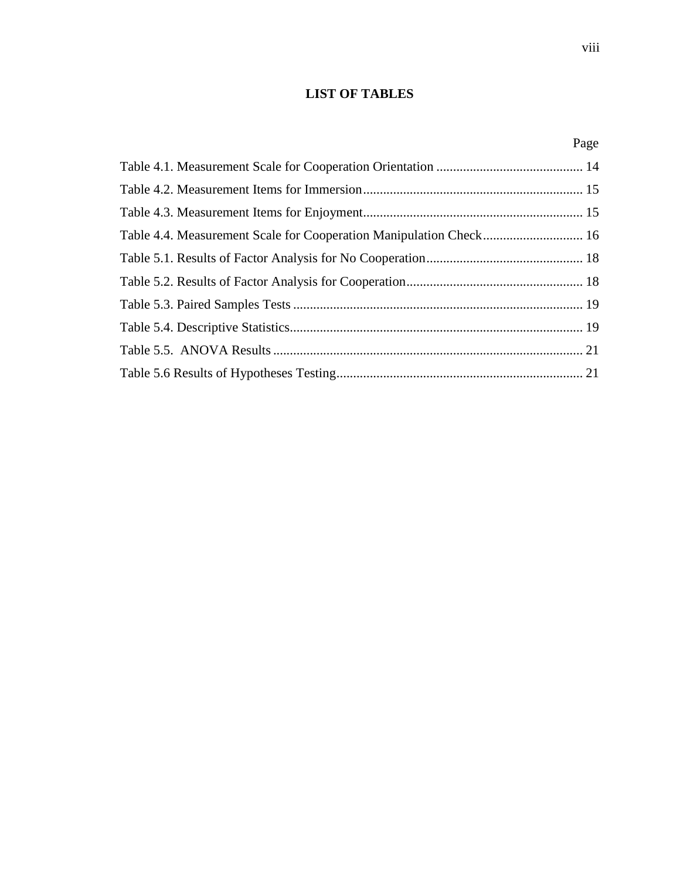# **LIST OF TABLES**

Page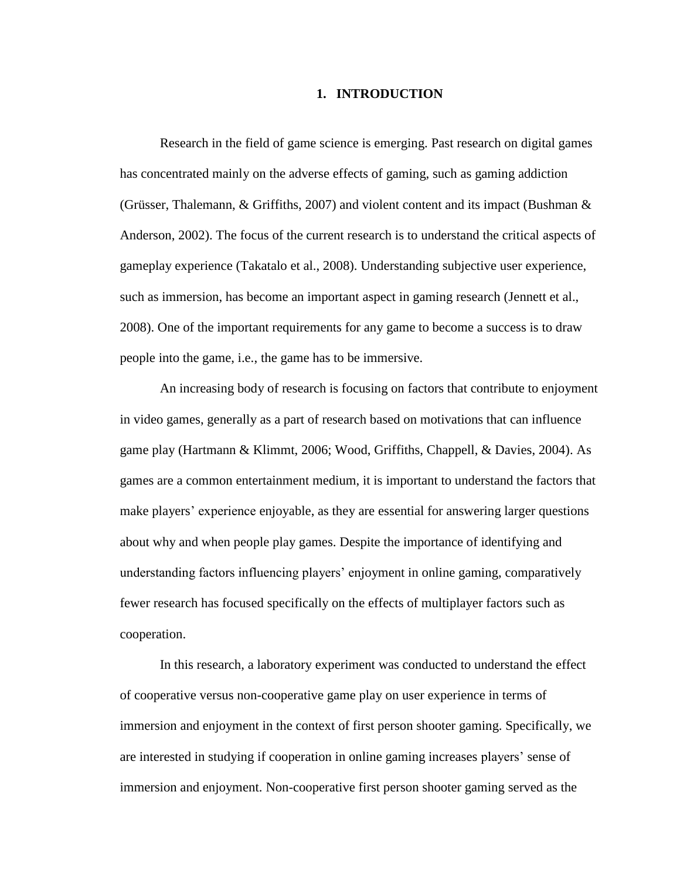#### **1. INTRODUCTION**

Research in the field of game science is emerging. Past research on digital games has concentrated mainly on the adverse effects of gaming, such as gaming addiction (Grüsser, Thalemann,  $\&$  Griffiths, 2007) and violent content and its impact (Bushman  $\&$ Anderson, 2002). The focus of the current research is to understand the critical aspects of gameplay experience (Takatalo et al., 2008). Understanding subjective user experience, such as immersion, has become an important aspect in gaming research (Jennett et al., 2008). One of the important requirements for any game to become a success is to draw people into the game, i.e., the game has to be immersive.

An increasing body of research is focusing on factors that contribute to enjoyment in video games, generally as a part of research based on motivations that can influence game play (Hartmann & Klimmt, 2006; Wood, Griffiths, Chappell, & Davies, 2004). As games are a common entertainment medium, it is important to understand the factors that make players' experience enjoyable, as they are essential for answering larger questions about why and when people play games. Despite the importance of identifying and understanding factors influencing players' enjoyment in online gaming, comparatively fewer research has focused specifically on the effects of multiplayer factors such as cooperation.

In this research, a laboratory experiment was conducted to understand the effect of cooperative versus non-cooperative game play on user experience in terms of immersion and enjoyment in the context of first person shooter gaming. Specifically, we are interested in studying if cooperation in online gaming increases players' sense of immersion and enjoyment. Non-cooperative first person shooter gaming served as the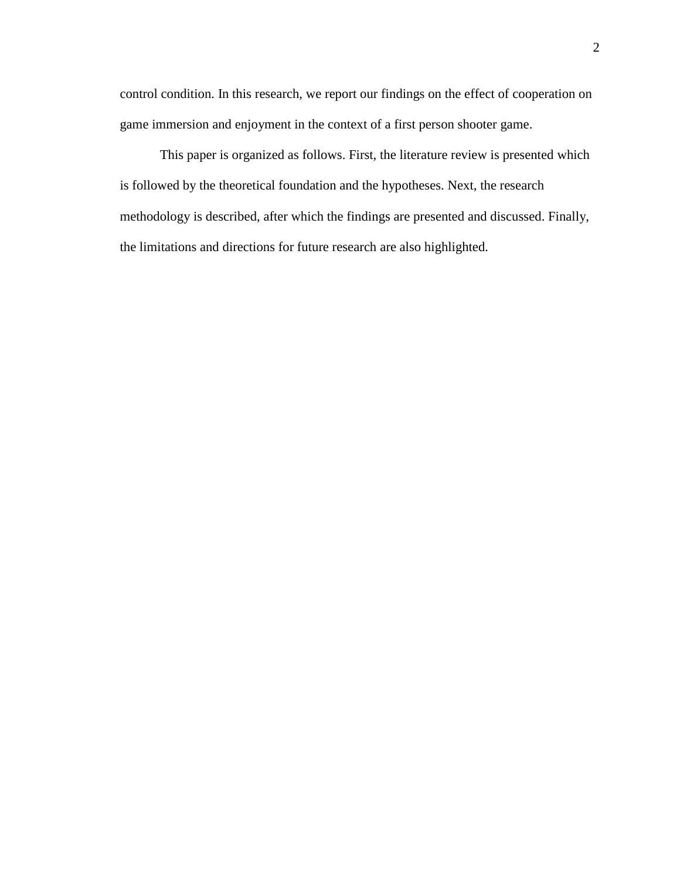control condition. In this research, we report our findings on the effect of cooperation on game immersion and enjoyment in the context of a first person shooter game.

This paper is organized as follows. First, the literature review is presented which is followed by the theoretical foundation and the hypotheses. Next, the research methodology is described, after which the findings are presented and discussed. Finally, the limitations and directions for future research are also highlighted.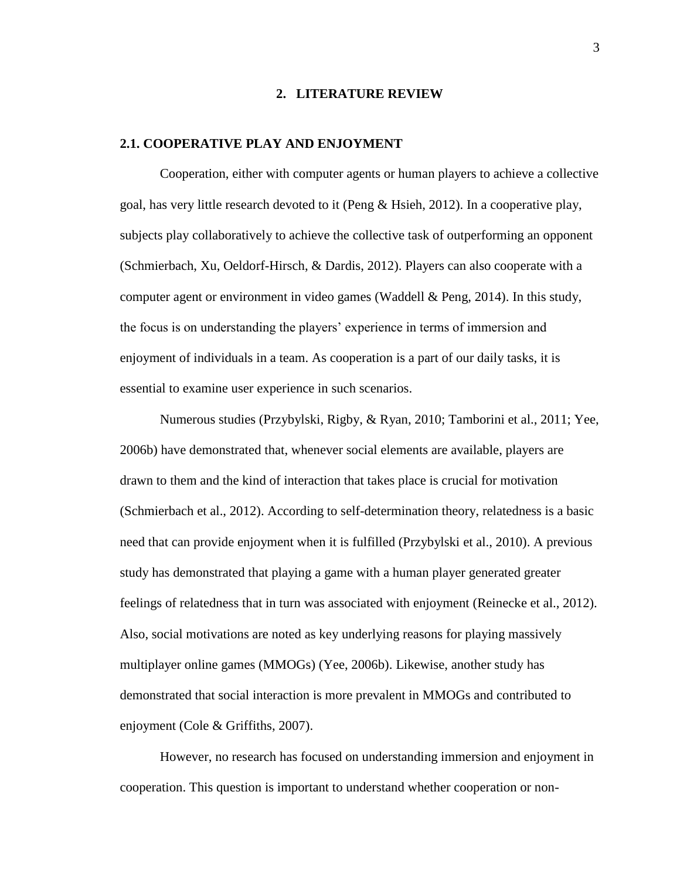#### **2. LITERATURE REVIEW**

#### **2.1. COOPERATIVE PLAY AND ENJOYMENT**

Cooperation, either with computer agents or human players to achieve a collective goal, has very little research devoted to it (Peng & Hsieh, 2012). In a cooperative play, subjects play collaboratively to achieve the collective task of outperforming an opponent (Schmierbach, Xu, Oeldorf-Hirsch, & Dardis, 2012). Players can also cooperate with a computer agent or environment in video games (Waddell & Peng, 2014). In this study, the focus is on understanding the players' experience in terms of immersion and enjoyment of individuals in a team. As cooperation is a part of our daily tasks, it is essential to examine user experience in such scenarios.

Numerous studies (Przybylski, Rigby, & Ryan, 2010; Tamborini et al., 2011; Yee, 2006b) have demonstrated that, whenever social elements are available, players are drawn to them and the kind of interaction that takes place is crucial for motivation (Schmierbach et al., 2012). According to self-determination theory, relatedness is a basic need that can provide enjoyment when it is fulfilled (Przybylski et al., 2010). A previous study has demonstrated that playing a game with a human player generated greater feelings of relatedness that in turn was associated with enjoyment (Reinecke et al., 2012). Also, social motivations are noted as key underlying reasons for playing massively multiplayer online games (MMOGs) (Yee, 2006b). Likewise, another study has demonstrated that social interaction is more prevalent in MMOGs and contributed to enjoyment (Cole & Griffiths, 2007).

However, no research has focused on understanding immersion and enjoyment in cooperation. This question is important to understand whether cooperation or non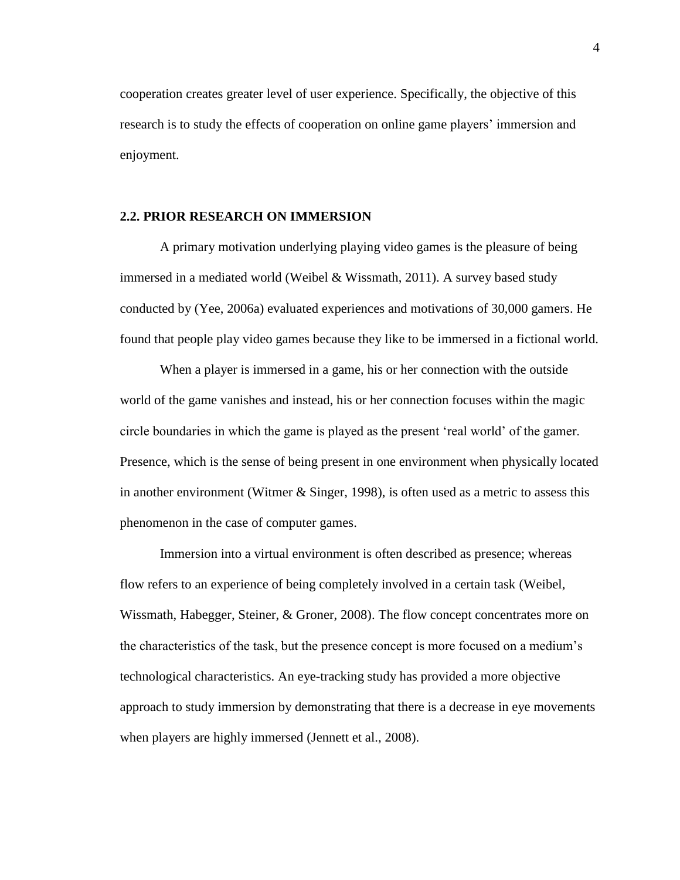cooperation creates greater level of user experience. Specifically, the objective of this research is to study the effects of cooperation on online game players' immersion and enjoyment.

### **2.2. PRIOR RESEARCH ON IMMERSION**

A primary motivation underlying playing video games is the pleasure of being immersed in a mediated world (Weibel & Wissmath, 2011). A survey based study conducted by (Yee, 2006a) evaluated experiences and motivations of 30,000 gamers. He found that people play video games because they like to be immersed in a fictional world.

When a player is immersed in a game, his or her connection with the outside world of the game vanishes and instead, his or her connection focuses within the magic circle boundaries in which the game is played as the present 'real world' of the gamer. Presence, which is the sense of being present in one environment when physically located in another environment (Witmer & Singer, 1998), is often used as a metric to assess this phenomenon in the case of computer games.

Immersion into a virtual environment is often described as presence; whereas flow refers to an experience of being completely involved in a certain task (Weibel, Wissmath, Habegger, Steiner, & Groner, 2008). The flow concept concentrates more on the characteristics of the task, but the presence concept is more focused on a medium's technological characteristics. An eye-tracking study has provided a more objective approach to study immersion by demonstrating that there is a decrease in eye movements when players are highly immersed (Jennett et al., 2008).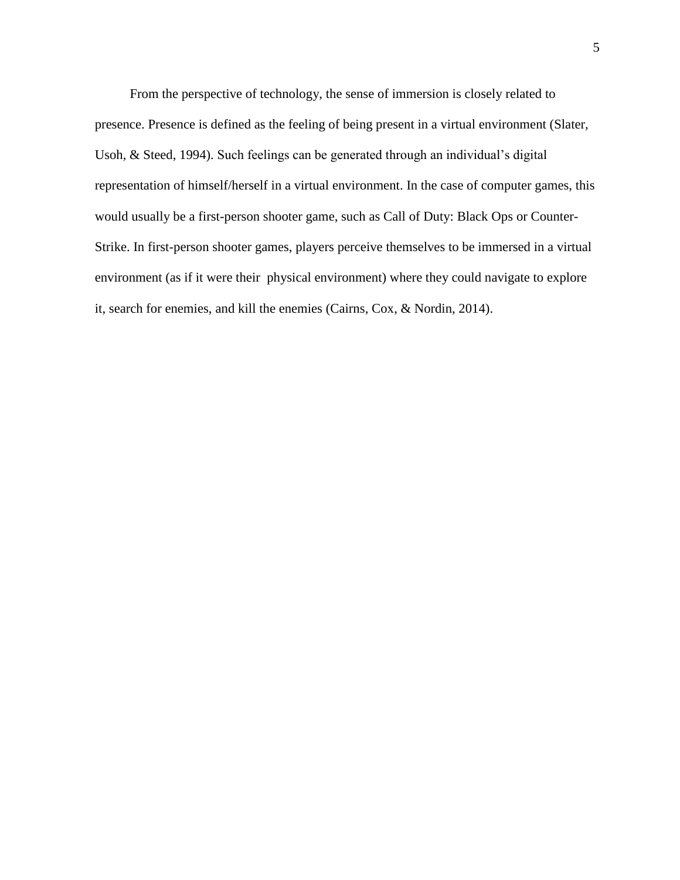From the perspective of technology, the sense of immersion is closely related to presence. Presence is defined as the feeling of being present in a virtual environment (Slater, Usoh, & Steed, 1994). Such feelings can be generated through an individual's digital representation of himself/herself in a virtual environment. In the case of computer games, this would usually be a first-person shooter game, such as Call of Duty: Black Ops or Counter-Strike. In first-person shooter games, players perceive themselves to be immersed in a virtual environment (as if it were their physical environment) where they could navigate to explore it, search for enemies, and kill the enemies (Cairns, Cox, & Nordin, 2014).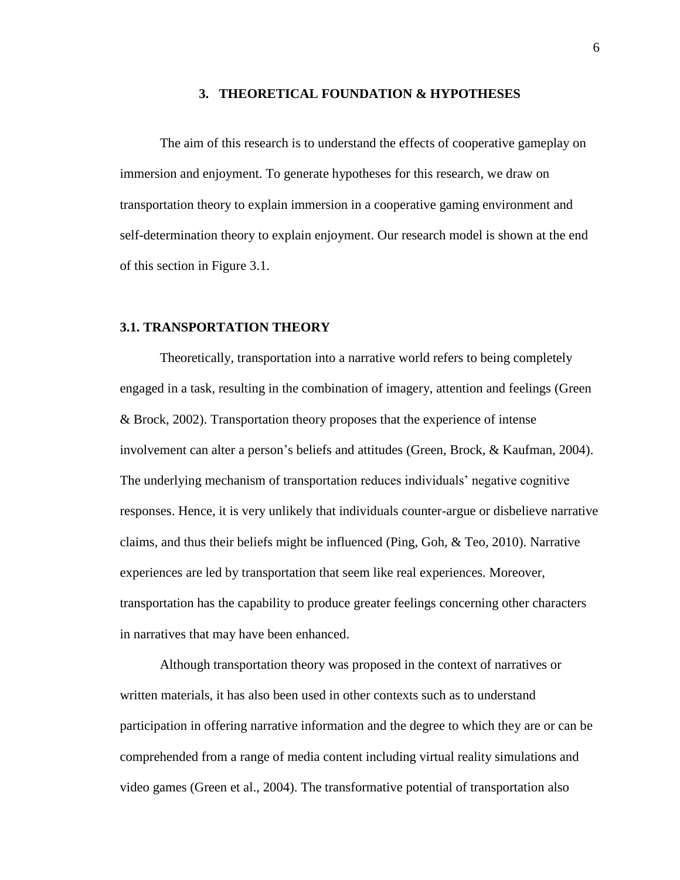#### **3. THEORETICAL FOUNDATION & HYPOTHESES**

The aim of this research is to understand the effects of cooperative gameplay on immersion and enjoyment. To generate hypotheses for this research, we draw on transportation theory to explain immersion in a cooperative gaming environment and self-determination theory to explain enjoyment. Our research model is shown at the end of this section in Figure 3.1.

#### **3.1. TRANSPORTATION THEORY**

Theoretically, transportation into a narrative world refers to being completely engaged in a task, resulting in the combination of imagery, attention and feelings (Green & Brock, 2002). Transportation theory proposes that the experience of intense involvement can alter a person's beliefs and attitudes (Green, Brock, & Kaufman, 2004). The underlying mechanism of transportation reduces individuals' negative cognitive responses. Hence, it is very unlikely that individuals counter-argue or disbelieve narrative claims, and thus their beliefs might be influenced (Ping, Goh, & Teo, 2010). Narrative experiences are led by transportation that seem like real experiences. Moreover, transportation has the capability to produce greater feelings concerning other characters in narratives that may have been enhanced.

Although transportation theory was proposed in the context of narratives or written materials, it has also been used in other contexts such as to understand participation in offering narrative information and the degree to which they are or can be comprehended from a range of media content including virtual reality simulations and video games (Green et al., 2004). The transformative potential of transportation also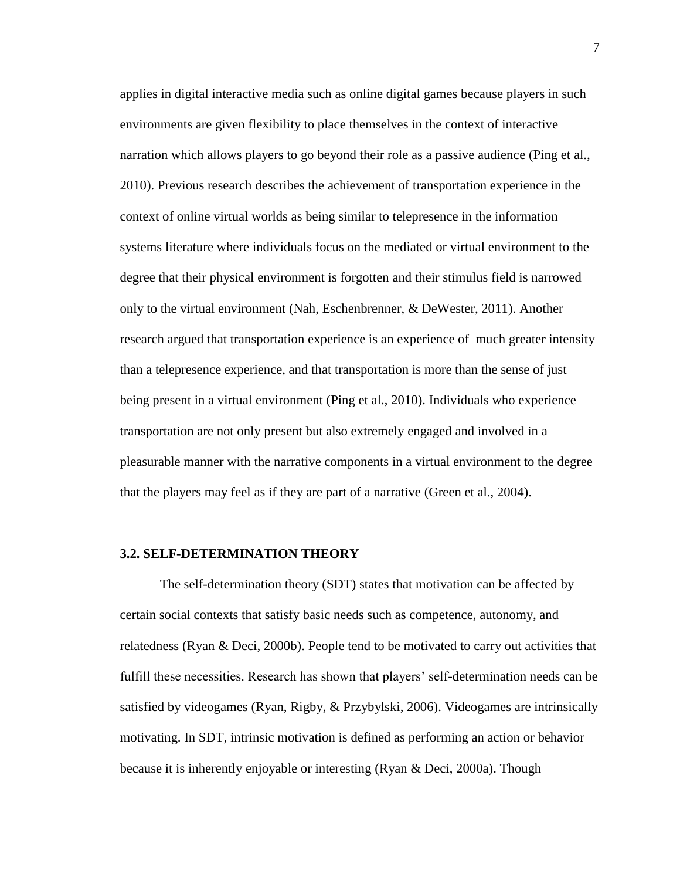applies in digital interactive media such as online digital games because players in such environments are given flexibility to place themselves in the context of interactive narration which allows players to go beyond their role as a passive audience (Ping et al., 2010). Previous research describes the achievement of transportation experience in the context of online virtual worlds as being similar to telepresence in the information systems literature where individuals focus on the mediated or virtual environment to the degree that their physical environment is forgotten and their stimulus field is narrowed only to the virtual environment (Nah, Eschenbrenner, & DeWester, 2011). Another research argued that transportation experience is an experience of much greater intensity than a telepresence experience, and that transportation is more than the sense of just being present in a virtual environment (Ping et al., 2010). Individuals who experience transportation are not only present but also extremely engaged and involved in a pleasurable manner with the narrative components in a virtual environment to the degree that the players may feel as if they are part of a narrative (Green et al., 2004).

#### **3.2. SELF-DETERMINATION THEORY**

The self-determination theory (SDT) states that motivation can be affected by certain social contexts that satisfy basic needs such as competence, autonomy, and relatedness (Ryan & Deci, 2000b). People tend to be motivated to carry out activities that fulfill these necessities. Research has shown that players' self-determination needs can be satisfied by videogames (Ryan, Rigby, & Przybylski, 2006). Videogames are intrinsically motivating. In SDT, intrinsic motivation is defined as performing an action or behavior because it is inherently enjoyable or interesting (Ryan & Deci, 2000a). Though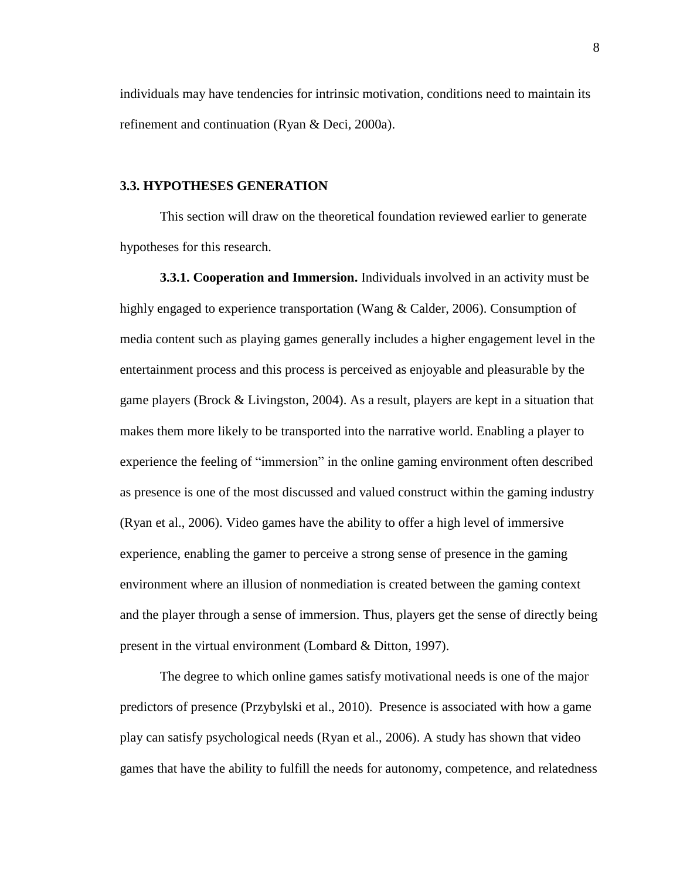individuals may have tendencies for intrinsic motivation, conditions need to maintain its refinement and continuation (Ryan & Deci, 2000a).

#### **3.3. HYPOTHESES GENERATION**

This section will draw on the theoretical foundation reviewed earlier to generate hypotheses for this research.

**3.3.1. Cooperation and Immersion.** Individuals involved in an activity must be highly engaged to experience transportation (Wang & Calder, 2006). Consumption of media content such as playing games generally includes a higher engagement level in the entertainment process and this process is perceived as enjoyable and pleasurable by the game players (Brock & Livingston, 2004). As a result, players are kept in a situation that makes them more likely to be transported into the narrative world. Enabling a player to experience the feeling of "immersion" in the online gaming environment often described as presence is one of the most discussed and valued construct within the gaming industry (Ryan et al., 2006). Video games have the ability to offer a high level of immersive experience, enabling the gamer to perceive a strong sense of presence in the gaming environment where an illusion of nonmediation is created between the gaming context and the player through a sense of immersion. Thus, players get the sense of directly being present in the virtual environment (Lombard & Ditton, 1997).

The degree to which online games satisfy motivational needs is one of the major predictors of presence (Przybylski et al., 2010). Presence is associated with how a game play can satisfy psychological needs (Ryan et al., 2006). A study has shown that video games that have the ability to fulfill the needs for autonomy, competence, and relatedness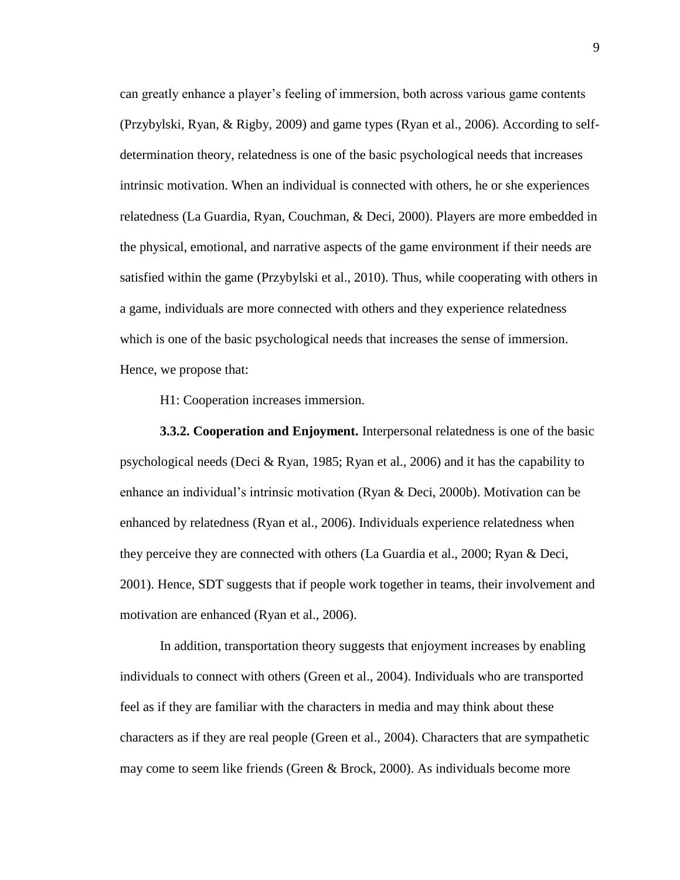can greatly enhance a player's feeling of immersion, both across various game contents (Przybylski, Ryan, & Rigby, 2009) and game types (Ryan et al., 2006). According to selfdetermination theory, relatedness is one of the basic psychological needs that increases intrinsic motivation. When an individual is connected with others, he or she experiences relatedness (La Guardia, Ryan, Couchman, & Deci, 2000). Players are more embedded in the physical, emotional, and narrative aspects of the game environment if their needs are satisfied within the game (Przybylski et al., 2010). Thus, while cooperating with others in a game, individuals are more connected with others and they experience relatedness which is one of the basic psychological needs that increases the sense of immersion. Hence, we propose that:

H1: Cooperation increases immersion.

**3.3.2. Cooperation and Enjoyment.** Interpersonal relatedness is one of the basic psychological needs (Deci & Ryan, 1985; Ryan et al., 2006) and it has the capability to enhance an individual's intrinsic motivation (Ryan & Deci, 2000b). Motivation can be enhanced by relatedness (Ryan et al., 2006). Individuals experience relatedness when they perceive they are connected with others (La Guardia et al., 2000; Ryan & Deci, 2001). Hence, SDT suggests that if people work together in teams, their involvement and motivation are enhanced (Ryan et al., 2006).

In addition, transportation theory suggests that enjoyment increases by enabling individuals to connect with others (Green et al., 2004). Individuals who are transported feel as if they are familiar with the characters in media and may think about these characters as if they are real people (Green et al., 2004). Characters that are sympathetic may come to seem like friends (Green & Brock, 2000). As individuals become more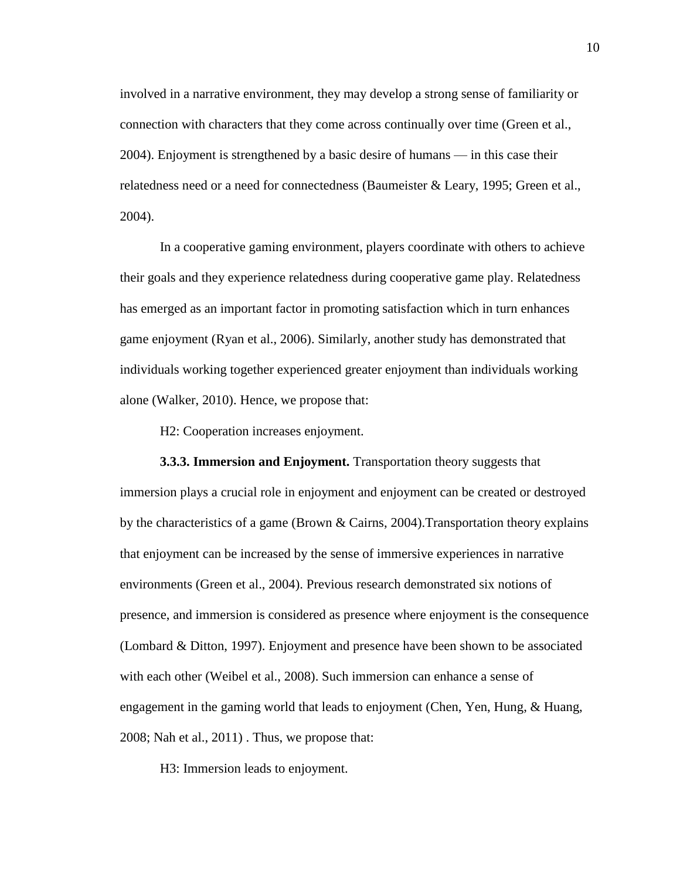involved in a narrative environment, they may develop a strong sense of familiarity or connection with characters that they come across continually over time (Green et al., 2004). Enjoyment is strengthened by a basic desire of humans — in this case their relatedness need or a need for connectedness (Baumeister & Leary, 1995; Green et al., 2004).

In a cooperative gaming environment, players coordinate with others to achieve their goals and they experience relatedness during cooperative game play. Relatedness has emerged as an important factor in promoting satisfaction which in turn enhances game enjoyment (Ryan et al., 2006). Similarly, another study has demonstrated that individuals working together experienced greater enjoyment than individuals working alone (Walker, 2010). Hence, we propose that:

H2: Cooperation increases enjoyment.

**3.3.3. Immersion and Enjoyment.** Transportation theory suggests that immersion plays a crucial role in enjoyment and enjoyment can be created or destroyed by the characteristics of a game (Brown & Cairns, 2004).Transportation theory explains that enjoyment can be increased by the sense of immersive experiences in narrative environments (Green et al., 2004). Previous research demonstrated six notions of presence, and immersion is considered as presence where enjoyment is the consequence (Lombard & Ditton, 1997). Enjoyment and presence have been shown to be associated with each other (Weibel et al., 2008). Such immersion can enhance a sense of engagement in the gaming world that leads to enjoyment (Chen, Yen, Hung, & Huang, 2008; Nah et al., 2011) . Thus, we propose that:

H3: Immersion leads to enjoyment.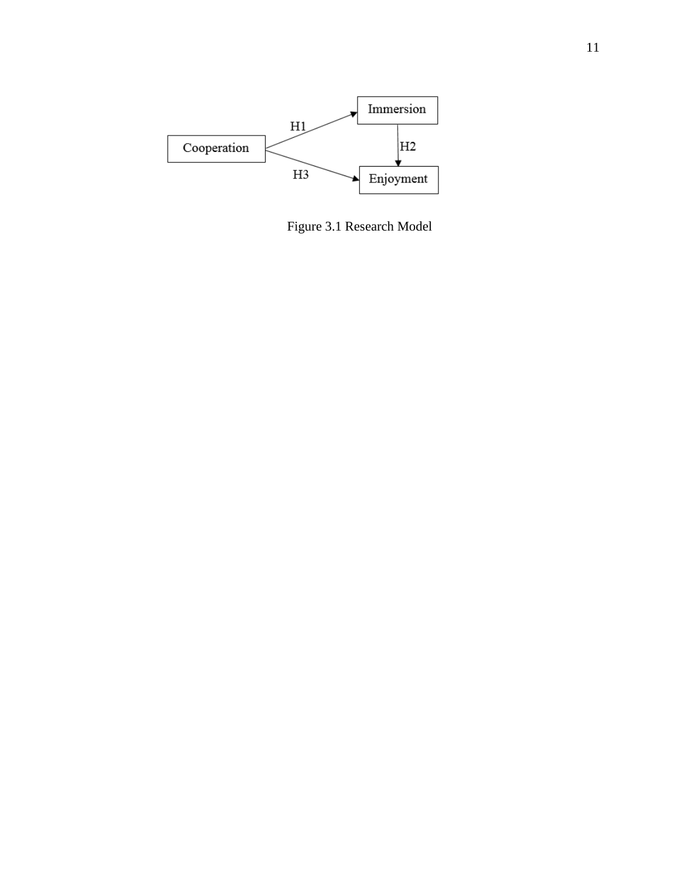<span id="page-19-0"></span>

Figure 3.1 Research Model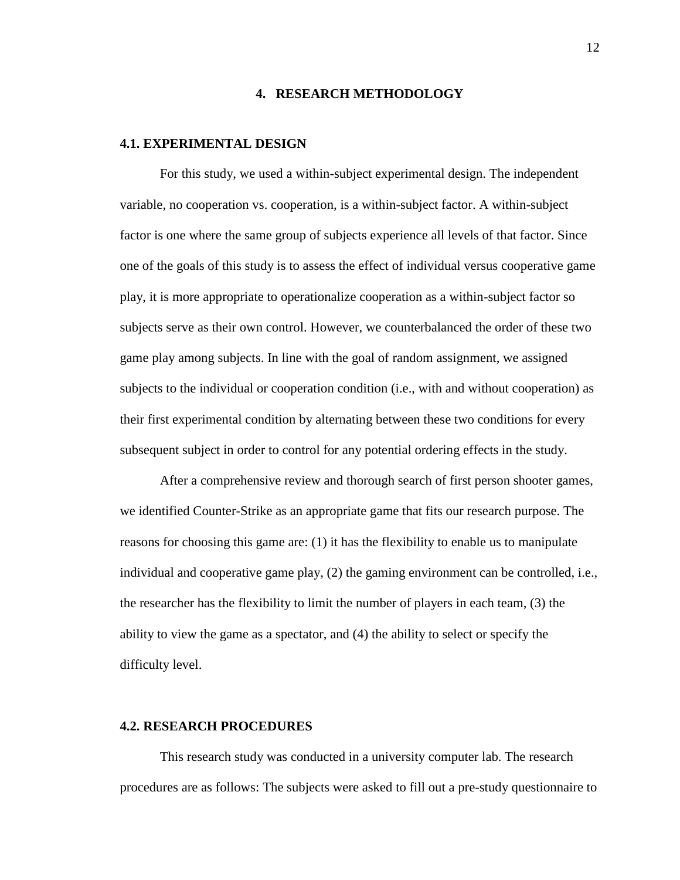#### **4. RESEARCH METHODOLOGY**

#### **4.1. EXPERIMENTAL DESIGN**

For this study, we used a within-subject experimental design. The independent variable, no cooperation vs. cooperation, is a within-subject factor. A within-subject factor is one where the same group of subjects experience all levels of that factor. Since one of the goals of this study is to assess the effect of individual versus cooperative game play, it is more appropriate to operationalize cooperation as a within-subject factor so subjects serve as their own control. However, we counterbalanced the order of these two game play among subjects. In line with the goal of random assignment, we assigned subjects to the individual or cooperation condition (i.e., with and without cooperation) as their first experimental condition by alternating between these two conditions for every subsequent subject in order to control for any potential ordering effects in the study.

After a comprehensive review and thorough search of first person shooter games, we identified Counter-Strike as an appropriate game that fits our research purpose. The reasons for choosing this game are: (1) it has the flexibility to enable us to manipulate individual and cooperative game play, (2) the gaming environment can be controlled, i.e., the researcher has the flexibility to limit the number of players in each team, (3) the ability to view the game as a spectator, and (4) the ability to select or specify the difficulty level.

#### **4.2. RESEARCH PROCEDURES**

This research study was conducted in a university computer lab. The research procedures are as follows: The subjects were asked to fill out a pre-study questionnaire to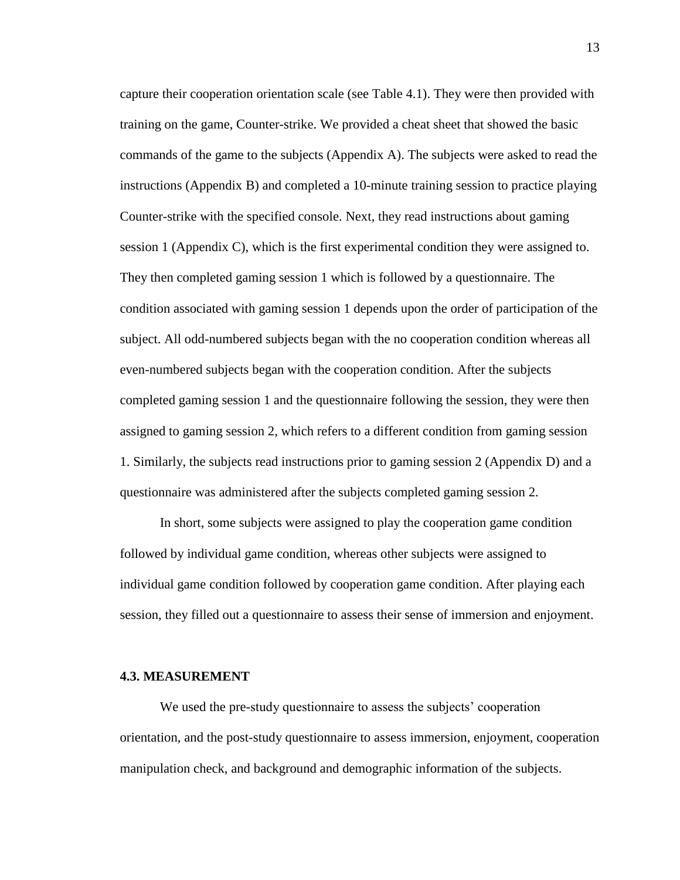capture their cooperation orientation scale (see Table 4.1). They were then provided with training on the game, Counter-strike. We provided a cheat sheet that showed the basic commands of the game to the subjects (Appendix A). The subjects were asked to read the instructions (Appendix B) and completed a 10-minute training session to practice playing Counter-strike with the specified console. Next, they read instructions about gaming session 1 (Appendix C), which is the first experimental condition they were assigned to. They then completed gaming session 1 which is followed by a questionnaire. The condition associated with gaming session 1 depends upon the order of participation of the subject. All odd-numbered subjects began with the no cooperation condition whereas all even-numbered subjects began with the cooperation condition. After the subjects completed gaming session 1 and the questionnaire following the session, they were then assigned to gaming session 2, which refers to a different condition from gaming session 1. Similarly, the subjects read instructions prior to gaming session 2 (Appendix D) and a questionnaire was administered after the subjects completed gaming session 2.

In short, some subjects were assigned to play the cooperation game condition followed by individual game condition, whereas other subjects were assigned to individual game condition followed by cooperation game condition. After playing each session, they filled out a questionnaire to assess their sense of immersion and enjoyment.

#### **4.3. MEASUREMENT**

We used the pre-study questionnaire to assess the subjects' cooperation orientation, and the post-study questionnaire to assess immersion, enjoyment, cooperation manipulation check, and background and demographic information of the subjects.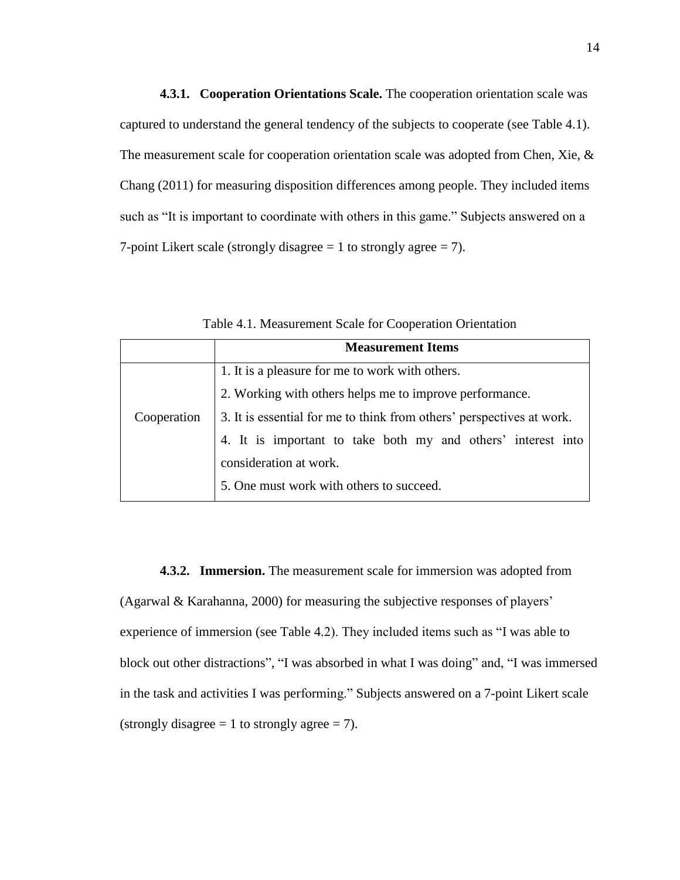**4.3.1. Cooperation Orientations Scale.** The cooperation orientation scale was captured to understand the general tendency of the subjects to cooperate (see Table 4.1). The measurement scale for cooperation orientation scale was adopted from Chen, Xie, & Chang (2011) for measuring disposition differences among people. They included items such as "It is important to coordinate with others in this game." Subjects answered on a 7-point Likert scale (strongly disagree  $= 1$  to strongly agree  $= 7$ ).

|                                                                                      | <b>Measurement Items</b>                                     |  |  |  |
|--------------------------------------------------------------------------------------|--------------------------------------------------------------|--|--|--|
| 1. It is a pleasure for me to work with others.                                      |                                                              |  |  |  |
|                                                                                      | 2. Working with others helps me to improve performance.      |  |  |  |
| 3. It is essential for me to think from others' perspectives at work.<br>Cooperation |                                                              |  |  |  |
|                                                                                      | 4. It is important to take both my and others' interest into |  |  |  |
|                                                                                      | consideration at work.                                       |  |  |  |
|                                                                                      | 5. One must work with others to succeed.                     |  |  |  |

Table 4.1. Measurement Scale for Cooperation Orientation

**4.3.2. Immersion.** The measurement scale for immersion was adopted from (Agarwal & Karahanna, 2000) for measuring the subjective responses of players' experience of immersion (see Table 4.2). They included items such as "I was able to block out other distractions", "I was absorbed in what I was doing" and, "I was immersed in the task and activities I was performing." Subjects answered on a 7-point Likert scale (strongly disagree  $= 1$  to strongly agree  $= 7$ ).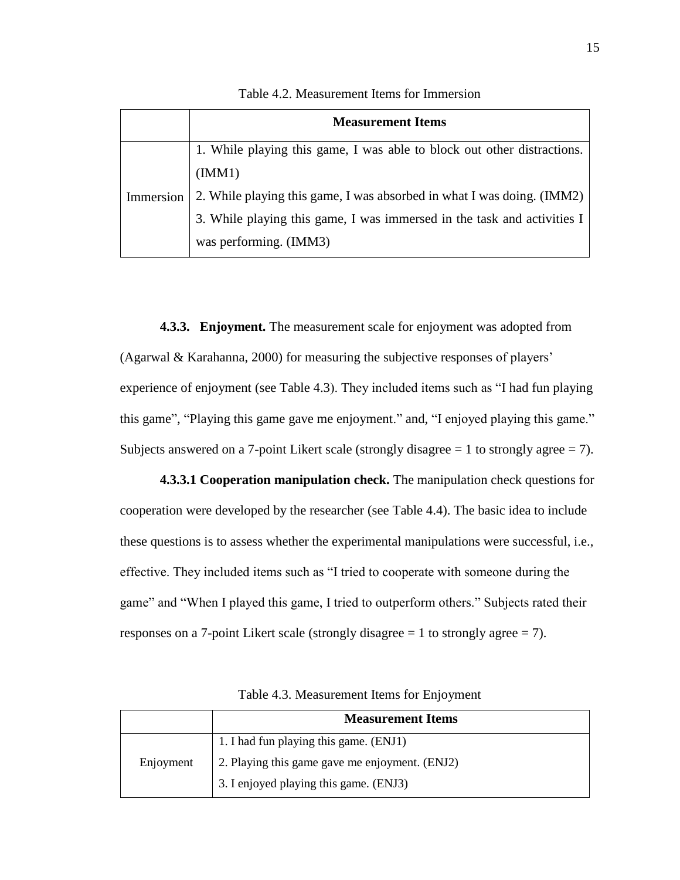|           | <b>Measurement Items</b>                                                |
|-----------|-------------------------------------------------------------------------|
|           | 1. While playing this game, I was able to block out other distractions. |
| Immersion | (IMM1)                                                                  |
|           | 2. While playing this game, I was absorbed in what I was doing. (IMM2)  |
|           | 3. While playing this game, I was immersed in the task and activities I |
|           | was performing. (IMM3)                                                  |

Table 4.2. Measurement Items for Immersion

**4.3.3. Enjoyment.** The measurement scale for enjoyment was adopted from (Agarwal & Karahanna, 2000) for measuring the subjective responses of players' experience of enjoyment (see Table 4.3). They included items such as "I had fun playing this game", "Playing this game gave me enjoyment." and, "I enjoyed playing this game." Subjects answered on a 7-point Likert scale (strongly disagree  $= 1$  to strongly agree  $= 7$ ).

**4.3.3.1 Cooperation manipulation check.** The manipulation check questions for cooperation were developed by the researcher (see Table 4.4). The basic idea to include these questions is to assess whether the experimental manipulations were successful, i.e., effective. They included items such as "I tried to cooperate with someone during the game" and "When I played this game, I tried to outperform others." Subjects rated their responses on a 7-point Likert scale (strongly disagree  $= 1$  to strongly agree  $= 7$ ).

|           | <b>Measurement Items</b>                       |
|-----------|------------------------------------------------|
|           | 1. I had fun playing this game. (ENJ1)         |
| Enjoyment | 2. Playing this game gave me enjoyment. (ENJ2) |
|           | 3. I enjoyed playing this game. (ENJ3)         |

Table 4.3. Measurement Items for Enjoyment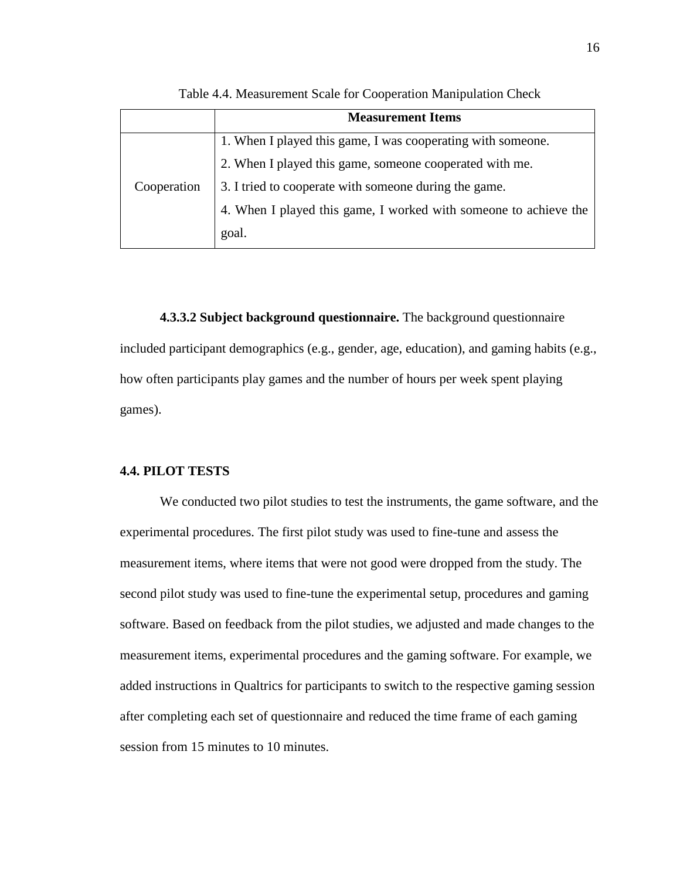|             | <b>Measurement Items</b>                                         |
|-------------|------------------------------------------------------------------|
|             | 1. When I played this game, I was cooperating with someone.      |
| Cooperation | 2. When I played this game, someone cooperated with me.          |
|             | 3. I tried to cooperate with someone during the game.            |
|             | 4. When I played this game, I worked with someone to achieve the |
|             | goal.                                                            |

Table 4.4. Measurement Scale for Cooperation Manipulation Check

**4.3.3.2 Subject background questionnaire.** The background questionnaire included participant demographics (e.g., gender, age, education), and gaming habits (e.g., how often participants play games and the number of hours per week spent playing games).

#### **4.4. PILOT TESTS**

We conducted two pilot studies to test the instruments, the game software, and the experimental procedures. The first pilot study was used to fine-tune and assess the measurement items, where items that were not good were dropped from the study. The second pilot study was used to fine-tune the experimental setup, procedures and gaming software. Based on feedback from the pilot studies, we adjusted and made changes to the measurement items, experimental procedures and the gaming software. For example, we added instructions in Qualtrics for participants to switch to the respective gaming session after completing each set of questionnaire and reduced the time frame of each gaming session from 15 minutes to 10 minutes.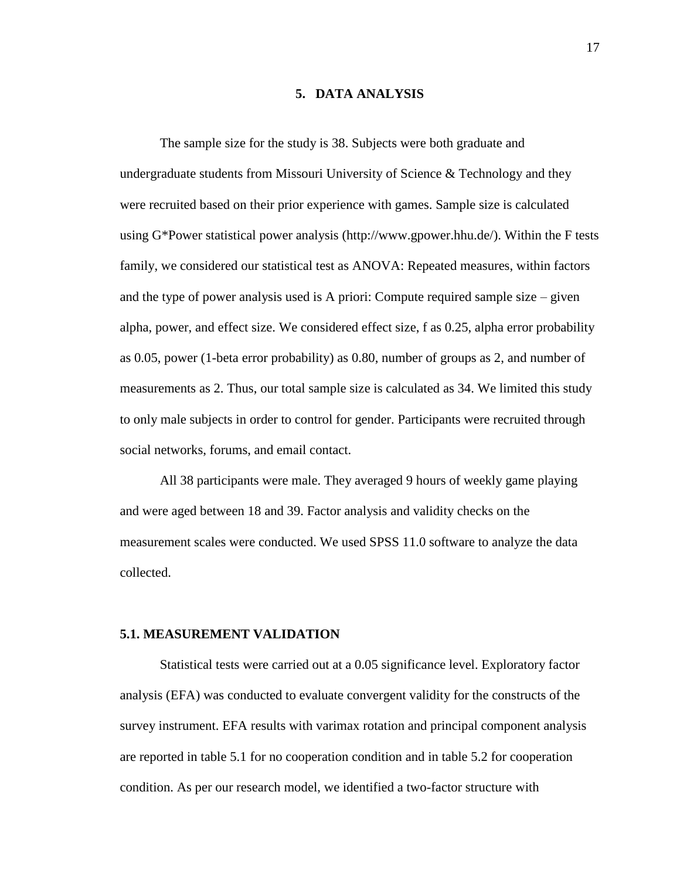#### **5. DATA ANALYSIS**

The sample size for the study is 38. Subjects were both graduate and undergraduate students from Missouri University of Science  $\&$  Technology and they were recruited based on their prior experience with games. Sample size is calculated using  $G^*$ Power statistical power analysis (http://www.gpower.hhu.de/). Within the F tests family, we considered our statistical test as ANOVA: Repeated measures, within factors and the type of power analysis used is A priori: Compute required sample size  $-$  given alpha, power, and effect size. We considered effect size, f as 0.25, alpha error probability as 0.05, power (1-beta error probability) as 0.80, number of groups as 2, and number of measurements as 2. Thus, our total sample size is calculated as 34. We limited this study to only male subjects in order to control for gender. Participants were recruited through social networks, forums, and email contact.

All 38 participants were male. They averaged 9 hours of weekly game playing and were aged between 18 and 39. Factor analysis and validity checks on the measurement scales were conducted. We used SPSS 11.0 software to analyze the data collected.

#### **5.1. MEASUREMENT VALIDATION**

Statistical tests were carried out at a 0.05 significance level. Exploratory factor analysis (EFA) was conducted to evaluate convergent validity for the constructs of the survey instrument. EFA results with varimax rotation and principal component analysis are reported in table 5.1 for no cooperation condition and in table 5.2 for cooperation condition. As per our research model, we identified a two-factor structure with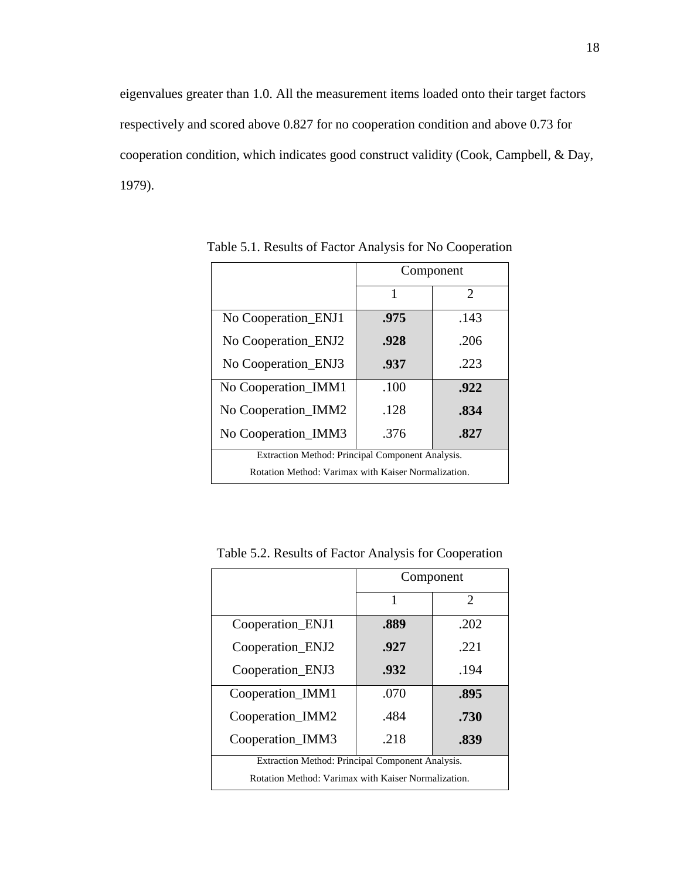eigenvalues greater than 1.0. All the measurement items loaded onto their target factors respectively and scored above 0.827 for no cooperation condition and above 0.73 for cooperation condition, which indicates good construct validity (Cook, Campbell, & Day, 1979).

|                                                     | Component |                       |  |
|-----------------------------------------------------|-----------|-----------------------|--|
|                                                     | 1         | $\mathcal{D}_{\cdot}$ |  |
| No Cooperation_ENJ1                                 | .975      | .143                  |  |
| No Cooperation_ENJ2                                 | .928      | .206                  |  |
| No Cooperation_ENJ3                                 | .937      | .223                  |  |
| No Cooperation_IMM1                                 | .100      | .922                  |  |
| No Cooperation_IMM2                                 | .128      | .834                  |  |
| No Cooperation_IMM3                                 | .376      | .827                  |  |
| Extraction Method: Principal Component Analysis.    |           |                       |  |
| Rotation Method: Varimax with Kaiser Normalization. |           |                       |  |

Table 5.1. Results of Factor Analysis for No Cooperation

|                                                     | Component |                       |  |
|-----------------------------------------------------|-----------|-----------------------|--|
|                                                     | 1         | $\mathcal{D}_{\cdot}$ |  |
| Cooperation_ENJ1                                    | .889      | .202                  |  |
| Cooperation_ENJ2                                    | .927      | .221                  |  |
| Cooperation_ENJ3                                    | .932      | .194                  |  |
| Cooperation_IMM1                                    | .070      | .895                  |  |
| Cooperation_IMM2                                    | .484      | .730                  |  |
| Cooperation_IMM3                                    | .218      | .839                  |  |
| Extraction Method: Principal Component Analysis.    |           |                       |  |
| Rotation Method: Varimax with Kaiser Normalization. |           |                       |  |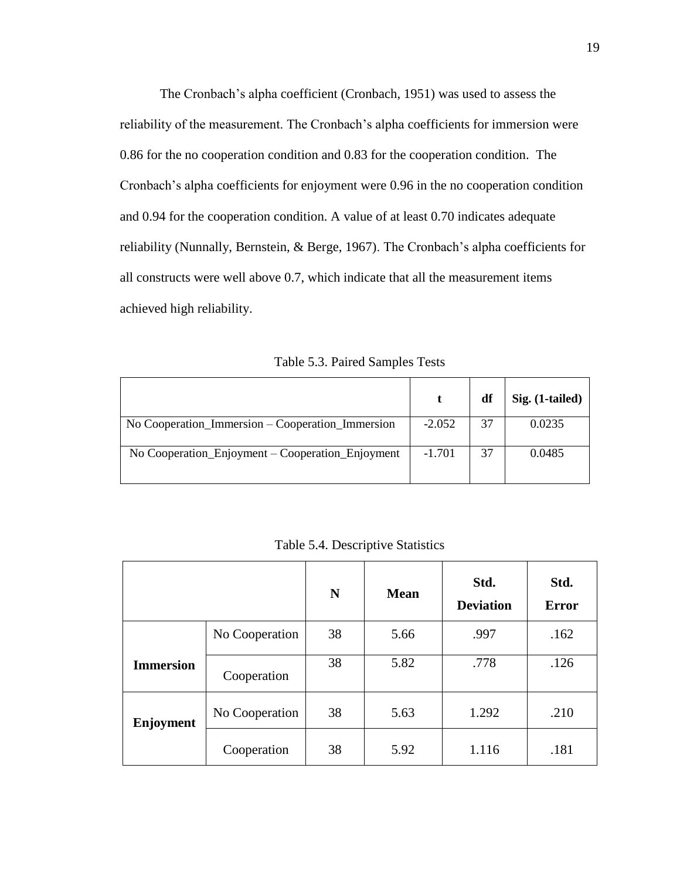The Cronbach's alpha coefficient (Cronbach, 1951) was used to assess the reliability of the measurement. The Cronbach's alpha coefficients for immersion were 0.86 for the no cooperation condition and 0.83 for the cooperation condition. The Cronbach's alpha coefficients for enjoyment were 0.96 in the no cooperation condition and 0.94 for the cooperation condition. A value of at least 0.70 indicates adequate reliability (Nunnally, Bernstein, & Berge, 1967). The Cronbach's alpha coefficients for all constructs were well above 0.7, which indicate that all the measurement items achieved high reliability.

Table 5.3. Paired Samples Tests

|                                                  |          | df | Sig. (1-tailed) |
|--------------------------------------------------|----------|----|-----------------|
| No Cooperation_Immersion – Cooperation_Immersion | $-2.052$ | 37 | 0.0235          |
| No Cooperation_Enjoyment – Cooperation_Enjoyment | $-1.701$ | 37 | 0.0485          |

Table 5.4. Descriptive Statistics

|                  |                | ${\bf N}$ | <b>Mean</b> | Std.<br><b>Deviation</b> | Std.<br><b>Error</b> |
|------------------|----------------|-----------|-------------|--------------------------|----------------------|
|                  | No Cooperation | 38        | 5.66        | .997                     | .162                 |
| <b>Immersion</b> | Cooperation    | 38        | 5.82        | .778                     | .126                 |
| Enjoyment        | No Cooperation | 38        | 5.63        | 1.292                    | .210                 |
|                  | Cooperation    | 38        | 5.92        | 1.116                    | .181                 |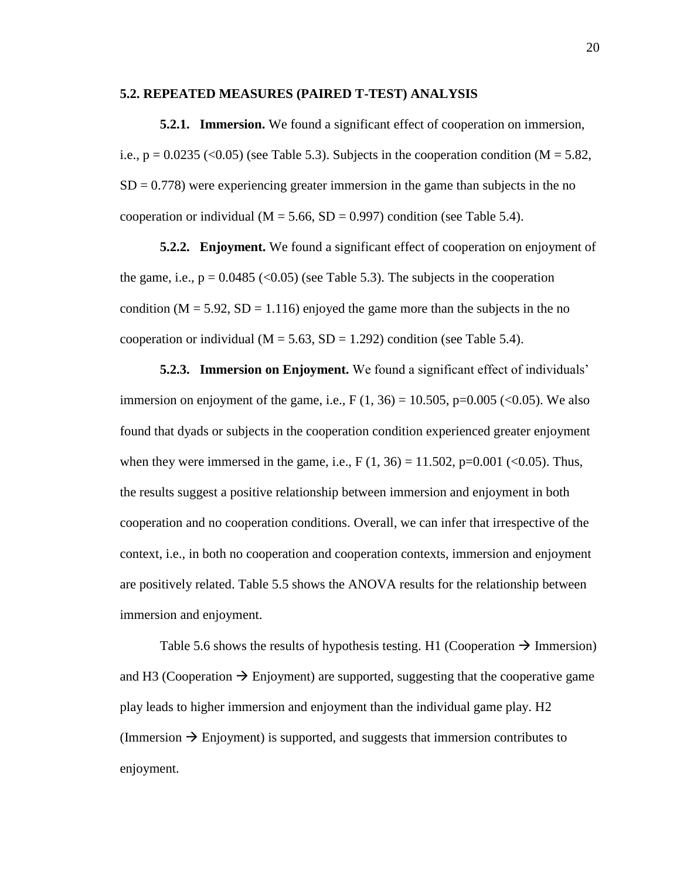#### **5.2. REPEATED MEASURES (PAIRED T-TEST) ANALYSIS**

**5.2.1. Immersion.** We found a significant effect of cooperation on immersion, i.e.,  $p = 0.0235$  (<0.05) (see Table 5.3). Subjects in the cooperation condition (M = 5.82,  $SD = 0.778$ ) were experiencing greater immersion in the game than subjects in the no cooperation or individual ( $M = 5.66$ ,  $SD = 0.997$ ) condition (see Table 5.4).

**5.2.2. Enjoyment.** We found a significant effect of cooperation on enjoyment of the game, i.e.,  $p = 0.0485$  (<0.05) (see Table 5.3). The subjects in the cooperation condition ( $M = 5.92$ ,  $SD = 1.116$ ) enjoyed the game more than the subjects in the no cooperation or individual ( $M = 5.63$ ,  $SD = 1.292$ ) condition (see Table 5.4).

**5.2.3. Immersion on Enjoyment.** We found a significant effect of individuals' immersion on enjoyment of the game, i.e.,  $F(1, 36) = 10.505$ ,  $p=0.005$  (<0.05). We also found that dyads or subjects in the cooperation condition experienced greater enjoyment when they were immersed in the game, i.e.,  $F(1, 36) = 11.502$ ,  $p=0.001$  (<0.05). Thus, the results suggest a positive relationship between immersion and enjoyment in both cooperation and no cooperation conditions. Overall, we can infer that irrespective of the context, i.e., in both no cooperation and cooperation contexts, immersion and enjoyment are positively related. Table 5.5 shows the ANOVA results for the relationship between immersion and enjoyment.

Table 5.6 shows the results of hypothesis testing. H1 (Cooperation  $\rightarrow$  Immersion) and H3 (Cooperation  $\rightarrow$  Enjoyment) are supported, suggesting that the cooperative game play leads to higher immersion and enjoyment than the individual game play. H2 (Immersion  $\rightarrow$  Enjoyment) is supported, and suggests that immersion contributes to enjoyment.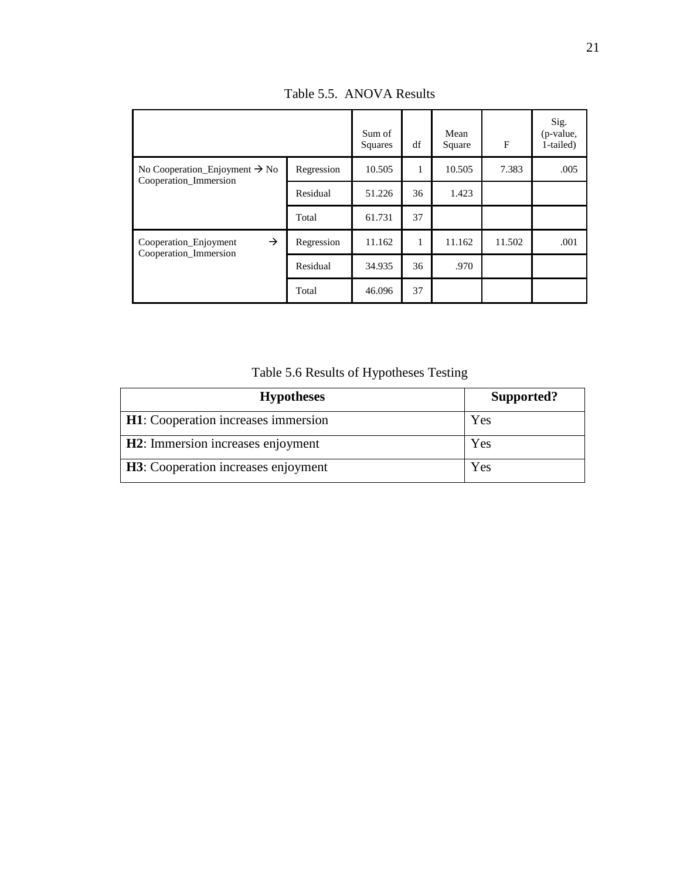|                                                                 |            | Sum of<br>Squares | df | Mean<br>Square | $\mathbf{F}$ | Sig.<br>(p-value,<br>1-tailed) |
|-----------------------------------------------------------------|------------|-------------------|----|----------------|--------------|--------------------------------|
| No Cooperation Enjoyment $\rightarrow$ No                       | Regression | 10.505            | 1  | 10.505         | 7.383        | .005                           |
| Cooperation_Immersion                                           | Residual   | 51.226            | 36 | 1.423          |              |                                |
|                                                                 | Total      | 61.731            | 37 |                |              |                                |
| $\rightarrow$<br>Cooperation Enjoyment<br>Cooperation_Immersion | Regression | 11.162            | 1  | 11.162         | 11.502       | .001                           |
|                                                                 | Residual   | 34.935            | 36 | .970           |              |                                |
|                                                                 | Total      | 46.096            | 37 |                |              |                                |

Table 5.5. ANOVA Results

Table 5.6 Results of Hypotheses Testing

| <b>Hypotheses</b>                           | Supported? |
|---------------------------------------------|------------|
| <b>H1</b> : Cooperation increases immersion | Yes        |
| H2: Immersion increases enjoyment           | Yes        |
| H3: Cooperation increases enjoyment         | Yes        |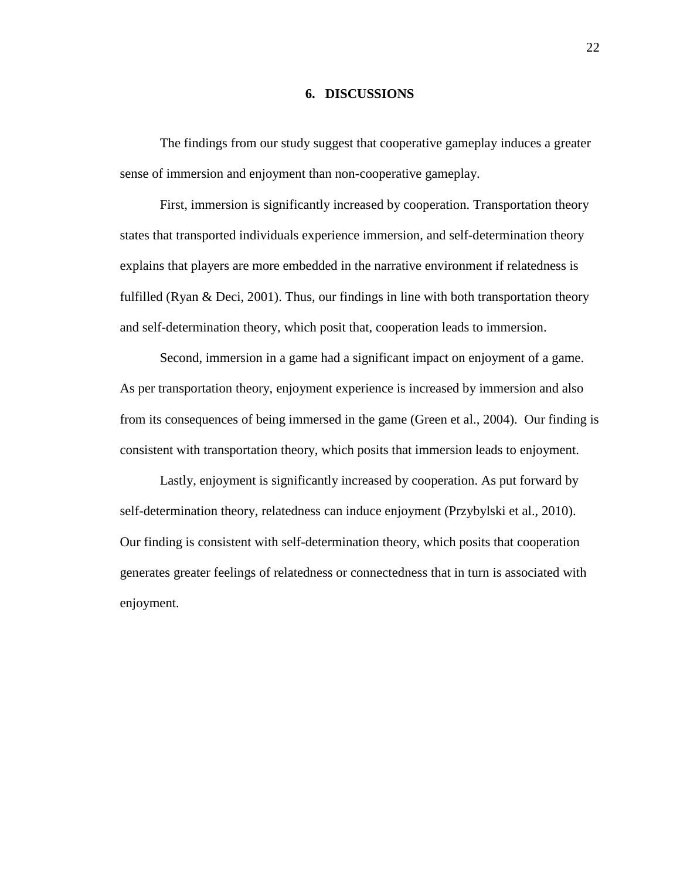#### **6. DISCUSSIONS**

The findings from our study suggest that cooperative gameplay induces a greater sense of immersion and enjoyment than non-cooperative gameplay.

First, immersion is significantly increased by cooperation. Transportation theory states that transported individuals experience immersion, and self-determination theory explains that players are more embedded in the narrative environment if relatedness is fulfilled (Ryan & Deci, 2001). Thus, our findings in line with both transportation theory and self-determination theory, which posit that, cooperation leads to immersion.

Second, immersion in a game had a significant impact on enjoyment of a game. As per transportation theory, enjoyment experience is increased by immersion and also from its consequences of being immersed in the game (Green et al., 2004). Our finding is consistent with transportation theory, which posits that immersion leads to enjoyment.

Lastly, enjoyment is significantly increased by cooperation. As put forward by self-determination theory, relatedness can induce enjoyment (Przybylski et al., 2010). Our finding is consistent with self-determination theory, which posits that cooperation generates greater feelings of relatedness or connectedness that in turn is associated with enjoyment.

22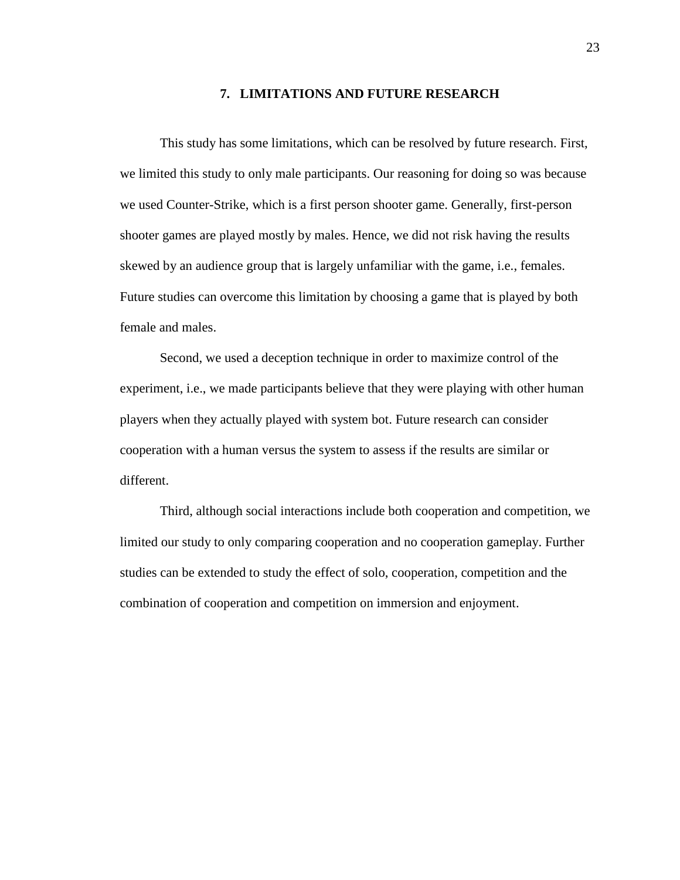#### **7. LIMITATIONS AND FUTURE RESEARCH**

This study has some limitations, which can be resolved by future research. First, we limited this study to only male participants. Our reasoning for doing so was because we used Counter-Strike, which is a first person shooter game. Generally, first-person shooter games are played mostly by males. Hence, we did not risk having the results skewed by an audience group that is largely unfamiliar with the game, i.e., females. Future studies can overcome this limitation by choosing a game that is played by both female and males.

Second, we used a deception technique in order to maximize control of the experiment, i.e., we made participants believe that they were playing with other human players when they actually played with system bot. Future research can consider cooperation with a human versus the system to assess if the results are similar or different.

Third, although social interactions include both cooperation and competition, we limited our study to only comparing cooperation and no cooperation gameplay. Further studies can be extended to study the effect of solo, cooperation, competition and the combination of cooperation and competition on immersion and enjoyment.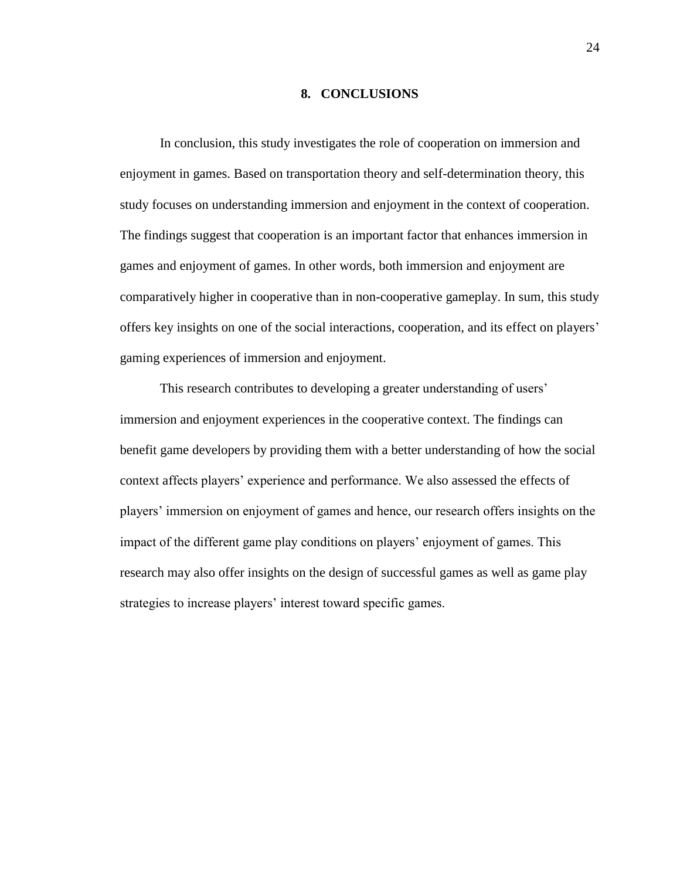#### **8. CONCLUSIONS**

In conclusion, this study investigates the role of cooperation on immersion and enjoyment in games. Based on transportation theory and self-determination theory, this study focuses on understanding immersion and enjoyment in the context of cooperation. The findings suggest that cooperation is an important factor that enhances immersion in games and enjoyment of games. In other words, both immersion and enjoyment are comparatively higher in cooperative than in non-cooperative gameplay. In sum, this study offers key insights on one of the social interactions, cooperation, and its effect on players' gaming experiences of immersion and enjoyment.

This research contributes to developing a greater understanding of users' immersion and enjoyment experiences in the cooperative context. The findings can benefit game developers by providing them with a better understanding of how the social context affects players' experience and performance. We also assessed the effects of players' immersion on enjoyment of games and hence, our research offers insights on the impact of the different game play conditions on players' enjoyment of games. This research may also offer insights on the design of successful games as well as game play strategies to increase players' interest toward specific games.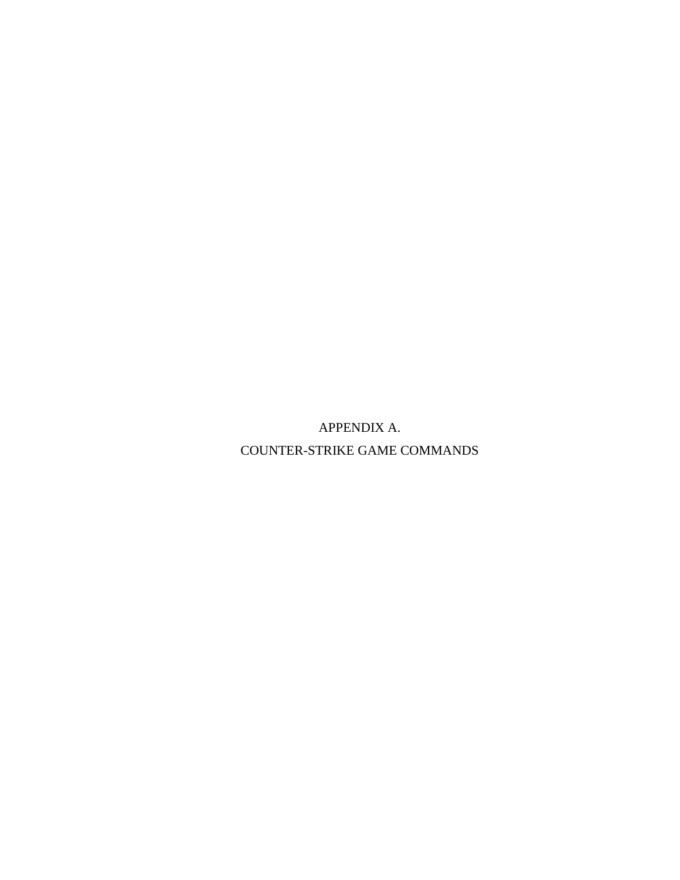APPENDIX A. COUNTER-STRIKE GAME COMMANDS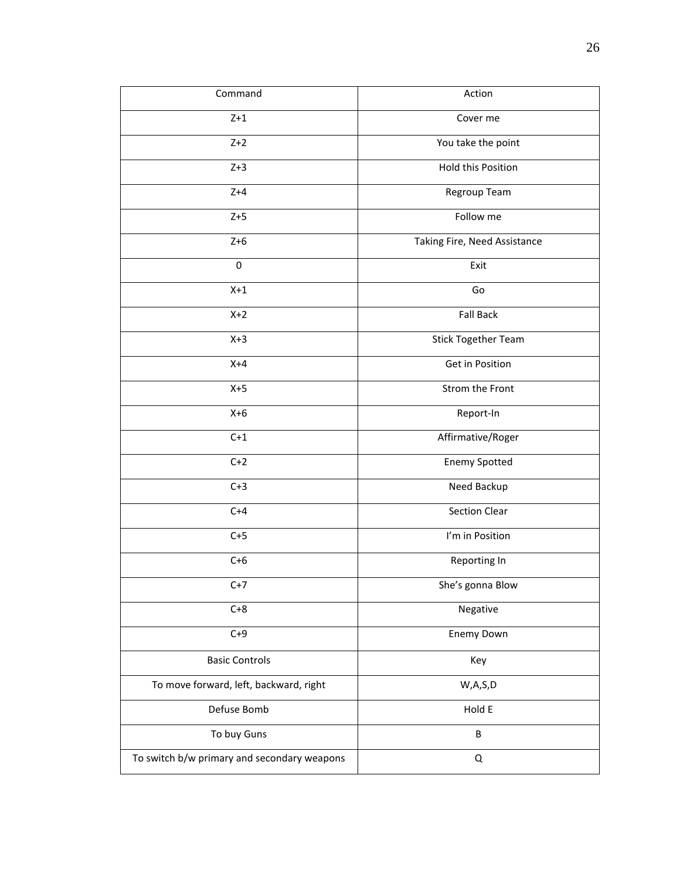| Command                                     | Action                       |
|---------------------------------------------|------------------------------|
| $Z+1$                                       | Cover me                     |
| $Z+2$                                       | You take the point           |
| $Z+3$                                       | Hold this Position           |
| $Z+4$                                       | Regroup Team                 |
| $Z+5$                                       | Follow me                    |
| $Z+6$                                       | Taking Fire, Need Assistance |
| $\pmb{0}$                                   | Exit                         |
| $X+1$                                       | Go                           |
| $X+2$                                       | <b>Fall Back</b>             |
| $X+3$                                       | <b>Stick Together Team</b>   |
| $X+4$                                       | Get in Position              |
| $X+5$                                       | Strom the Front              |
| $X+6$                                       | Report-In                    |
| $C+1$                                       | Affirmative/Roger            |
| $C+2$                                       | <b>Enemy Spotted</b>         |
| $C+3$                                       | Need Backup                  |
| $C+4$                                       | <b>Section Clear</b>         |
| $C+5$                                       | I'm in Position              |
| $C+6$                                       | Reporting In                 |
| $C+7$                                       | She's gonna Blow             |
| $C+8$                                       | Negative                     |
| $C+9$                                       | Enemy Down                   |
| <b>Basic Controls</b>                       | Key                          |
| To move forward, left, backward, right      | W, A, S, D                   |
| Defuse Bomb                                 | Hold E                       |
| To buy Guns                                 | B                            |
| To switch b/w primary and secondary weapons | $\mathsf Q$                  |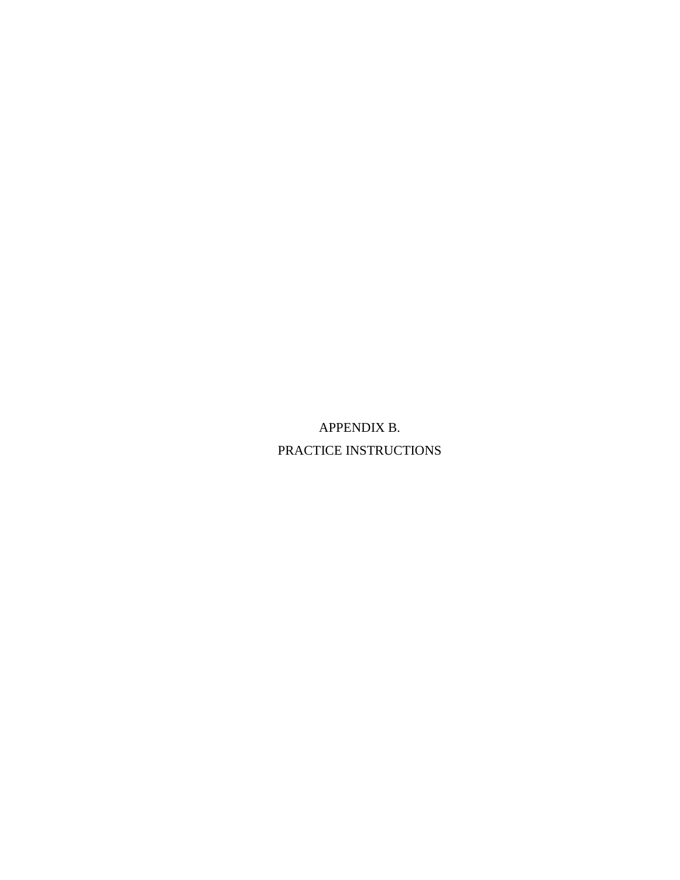APPENDIX B. PRACTICE INSTRUCTIONS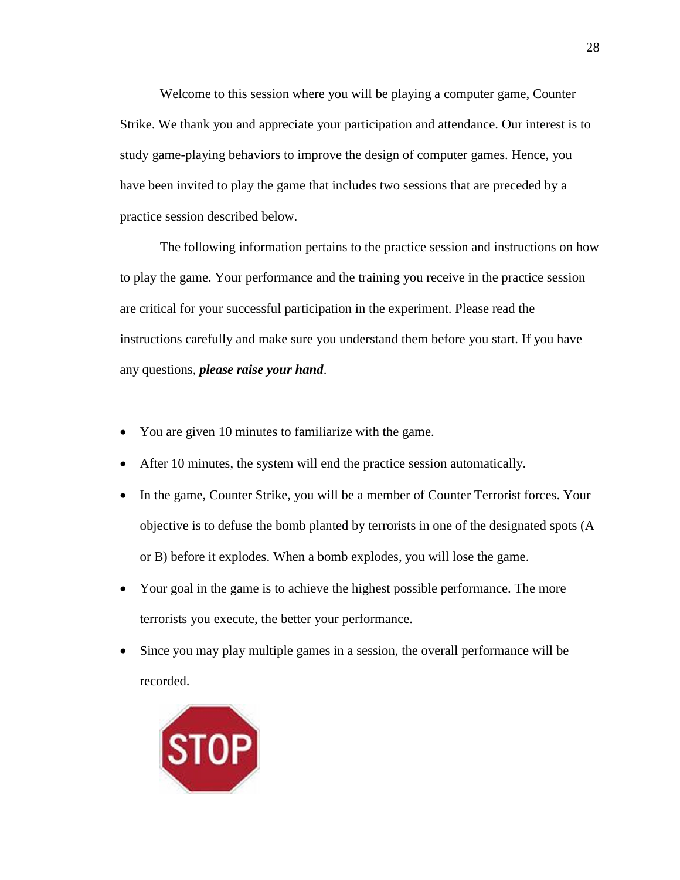Welcome to this session where you will be playing a computer game, Counter Strike. We thank you and appreciate your participation and attendance. Our interest is to study game-playing behaviors to improve the design of computer games. Hence, you have been invited to play the game that includes two sessions that are preceded by a practice session described below.

The following information pertains to the practice session and instructions on how to play the game. Your performance and the training you receive in the practice session are critical for your successful participation in the experiment. Please read the instructions carefully and make sure you understand them before you start. If you have any questions, *please raise your hand*.

- You are given 10 minutes to familiarize with the game.
- After 10 minutes, the system will end the practice session automatically.
- In the game, Counter Strike, you will be a member of Counter Terrorist forces. Your objective is to defuse the bomb planted by terrorists in one of the designated spots (A or B) before it explodes. When a bomb explodes, you will lose the game.
- Your goal in the game is to achieve the highest possible performance. The more terrorists you execute, the better your performance.
- Since you may play multiple games in a session, the overall performance will be recorded.

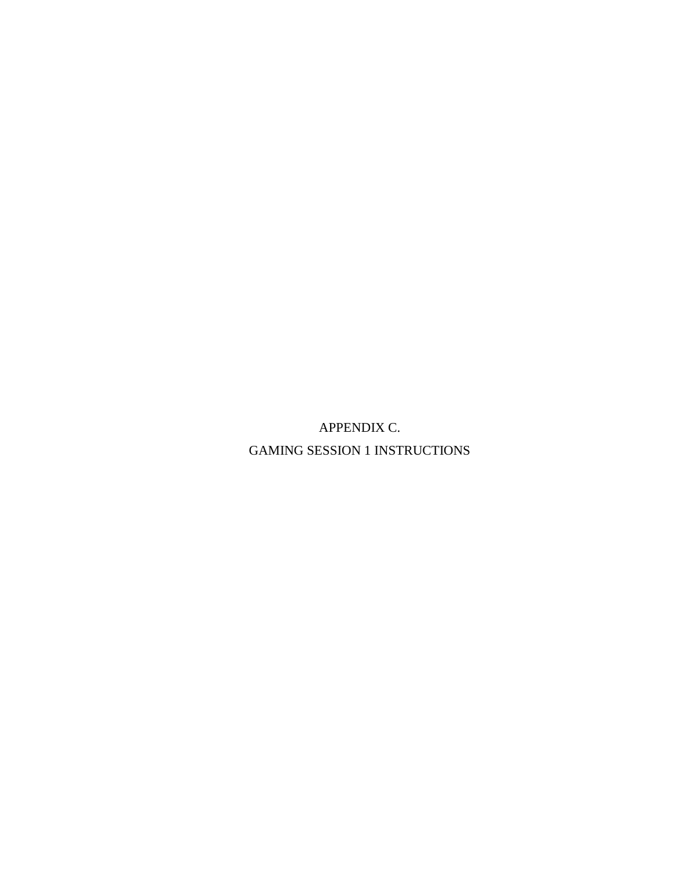APPENDIX C. GAMING SESSION 1 INSTRUCTIONS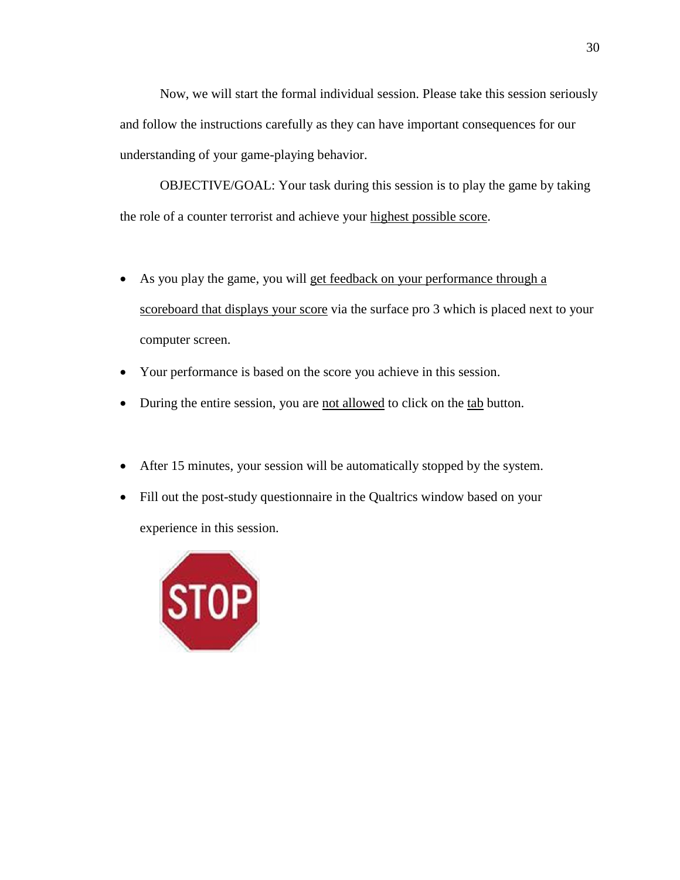Now, we will start the formal individual session. Please take this session seriously and follow the instructions carefully as they can have important consequences for our understanding of your game-playing behavior.

OBJECTIVE/GOAL: Your task during this session is to play the game by taking the role of a counter terrorist and achieve your highest possible score.

- As you play the game, you will get feedback on your performance through a scoreboard that displays your score via the surface pro 3 which is placed next to your computer screen.
- Your performance is based on the score you achieve in this session.
- During the entire session, you are not allowed to click on the tab button.
- After 15 minutes, your session will be automatically stopped by the system.
- Fill out the post-study questionnaire in the Qualtrics window based on your experience in this session.

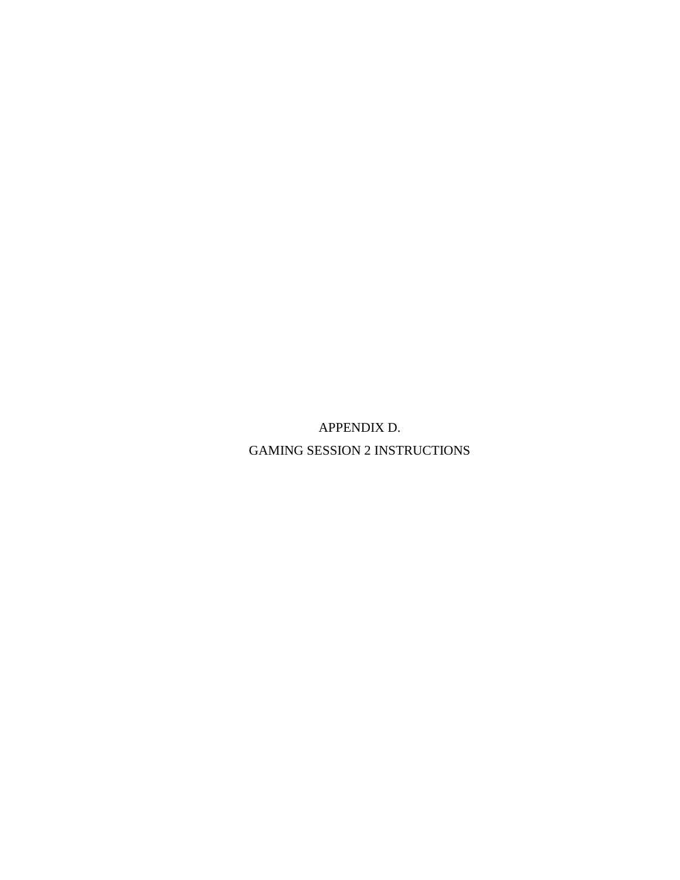APPENDIX D. GAMING SESSION 2 INSTRUCTIONS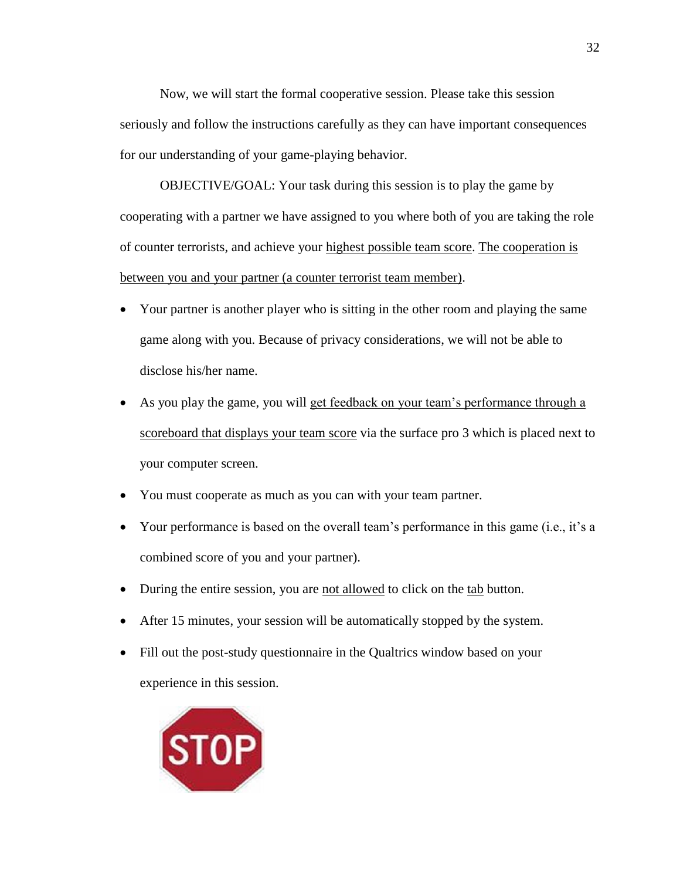Now, we will start the formal cooperative session. Please take this session seriously and follow the instructions carefully as they can have important consequences for our understanding of your game-playing behavior.

OBJECTIVE/GOAL: Your task during this session is to play the game by cooperating with a partner we have assigned to you where both of you are taking the role of counter terrorists, and achieve your highest possible team score. The cooperation is between you and your partner (a counter terrorist team member).

- Your partner is another player who is sitting in the other room and playing the same game along with you. Because of privacy considerations, we will not be able to disclose his/her name.
- As you play the game, you will get feedback on your team's performance through a scoreboard that displays your team score via the surface pro 3 which is placed next to your computer screen.
- You must cooperate as much as you can with your team partner.
- Your performance is based on the overall team's performance in this game (i.e., it's a combined score of you and your partner).
- During the entire session, you are not allowed to click on the tab button.
- After 15 minutes, your session will be automatically stopped by the system.
- Fill out the post-study questionnaire in the Qualtrics window based on your experience in this session.

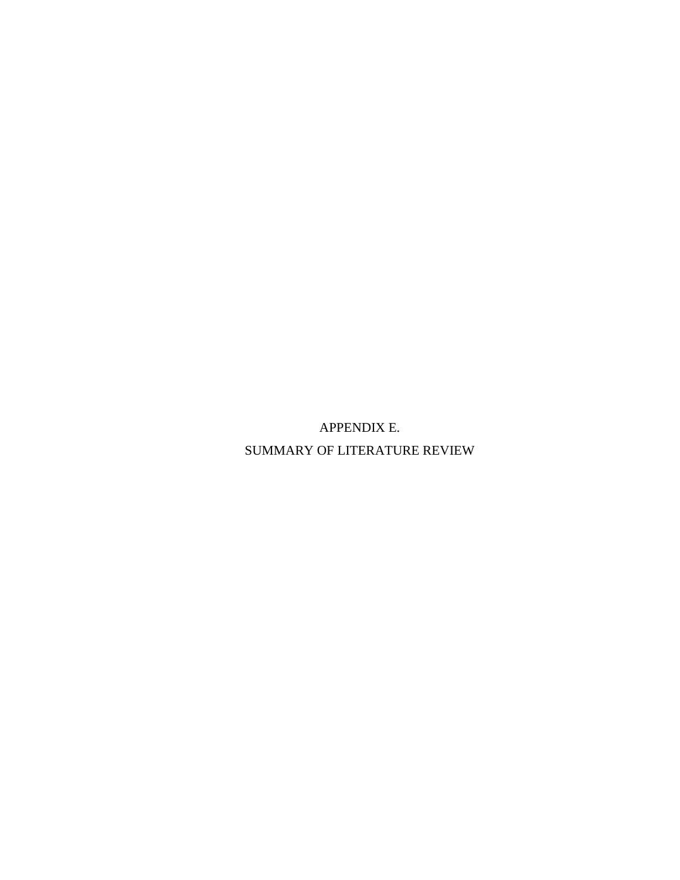APPENDIX E. SUMMARY OF LITERATURE REVIEW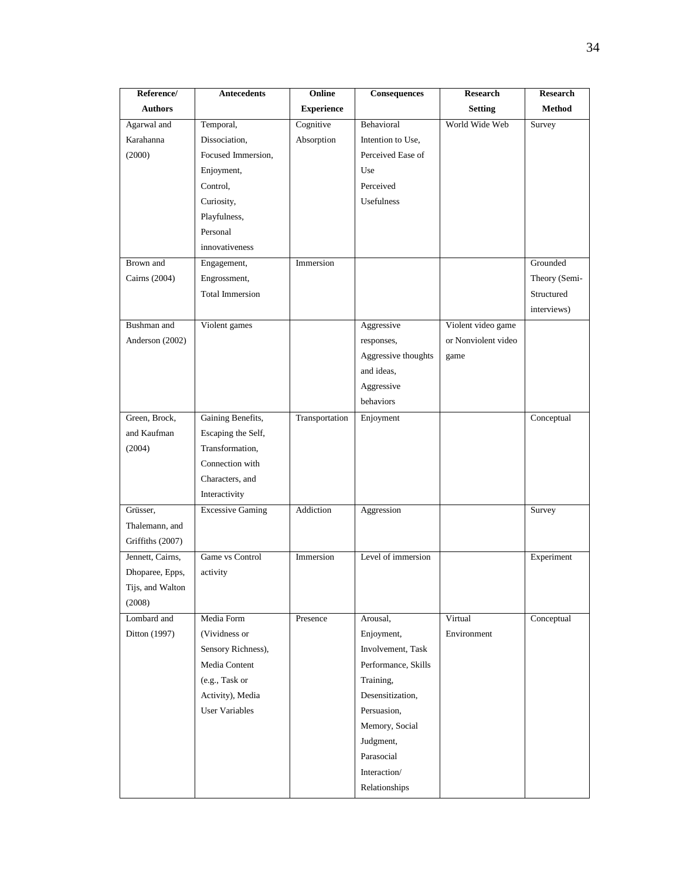| Reference/       | <b>Antecedents</b>      | Online            | <b>Consequences</b> | <b>Research</b>     | <b>Research</b> |
|------------------|-------------------------|-------------------|---------------------|---------------------|-----------------|
| <b>Authors</b>   |                         | <b>Experience</b> |                     | <b>Setting</b>      | Method          |
| Agarwal and      | Temporal,               | Cognitive         | Behavioral          | World Wide Web      | Survey          |
| Karahanna        | Dissociation,           | Absorption        | Intention to Use,   |                     |                 |
| (2000)           | Focused Immersion,      |                   | Perceived Ease of   |                     |                 |
|                  | Enjoyment,              |                   | Use                 |                     |                 |
|                  | Control,                |                   | Perceived           |                     |                 |
|                  | Curiosity,              |                   | <b>Usefulness</b>   |                     |                 |
|                  | Playfulness,            |                   |                     |                     |                 |
|                  | Personal                |                   |                     |                     |                 |
|                  | innovativeness          |                   |                     |                     |                 |
| Brown and        | Engagement,             | Immersion         |                     |                     | Grounded        |
| Cairns (2004)    | Engrossment,            |                   |                     |                     | Theory (Semi-   |
|                  | <b>Total Immersion</b>  |                   |                     |                     | Structured      |
|                  |                         |                   |                     |                     | interviews)     |
| Bushman and      | Violent games           |                   | Aggressive          | Violent video game  |                 |
| Anderson (2002)  |                         |                   | responses,          | or Nonviolent video |                 |
|                  |                         |                   | Aggressive thoughts | game                |                 |
|                  |                         |                   | and ideas,          |                     |                 |
|                  |                         |                   | Aggressive          |                     |                 |
|                  |                         |                   | behaviors           |                     |                 |
| Green, Brock,    | Gaining Benefits,       | Transportation    | Enjoyment           |                     | Conceptual      |
| and Kaufman      | Escaping the Self,      |                   |                     |                     |                 |
| (2004)           | Transformation,         |                   |                     |                     |                 |
|                  | Connection with         |                   |                     |                     |                 |
|                  | Characters, and         |                   |                     |                     |                 |
|                  | Interactivity           |                   |                     |                     |                 |
| Grüsser,         | <b>Excessive Gaming</b> | Addiction         | Aggression          |                     | Survey          |
| Thalemann, and   |                         |                   |                     |                     |                 |
| Griffiths (2007) |                         |                   |                     |                     |                 |
| Jennett, Cairns, | Game vs Control         | Immersion         | Level of immersion  |                     | Experiment      |
| Dhoparee, Epps,  | activity                |                   |                     |                     |                 |
| Tijs, and Walton |                         |                   |                     |                     |                 |
| (2008)           |                         |                   |                     |                     |                 |
| Lombard and      | Media Form              | Presence          | Arousal,            | Virtual             | Conceptual      |
| Ditton (1997)    | (Vividness or           |                   | Enjoyment,          | Environment         |                 |
|                  | Sensory Richness),      |                   | Involvement, Task   |                     |                 |
|                  | Media Content           |                   | Performance, Skills |                     |                 |
|                  | (e.g., Task or          |                   | Training,           |                     |                 |
|                  | Activity), Media        |                   | Desensitization,    |                     |                 |
|                  | User Variables          |                   | Persuasion,         |                     |                 |
|                  |                         |                   | Memory, Social      |                     |                 |
|                  |                         |                   | Judgment,           |                     |                 |
|                  |                         |                   | Parasocial          |                     |                 |
|                  |                         |                   | Interaction/        |                     |                 |
|                  |                         |                   |                     |                     |                 |
|                  |                         |                   | Relationships       |                     |                 |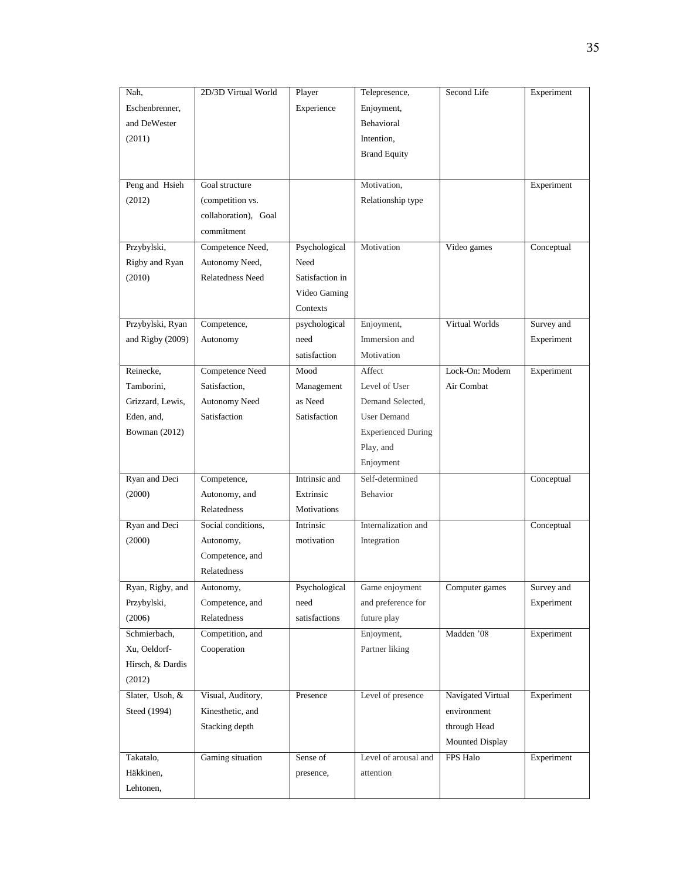| Nah,             | 2D/3D Virtual World  | Player          | Telepresence,             | Second Life       | Experiment |
|------------------|----------------------|-----------------|---------------------------|-------------------|------------|
| Eschenbrenner,   |                      | Experience      | Enjoyment,                |                   |            |
| and DeWester     |                      |                 | Behavioral                |                   |            |
| (2011)           |                      |                 | Intention,                |                   |            |
|                  |                      |                 | <b>Brand Equity</b>       |                   |            |
|                  |                      |                 |                           |                   |            |
| Peng and Hsieh   | Goal structure       |                 | Motivation,               |                   | Experiment |
| (2012)           | (competition vs.     |                 | Relationship type         |                   |            |
|                  | collaboration), Goal |                 |                           |                   |            |
|                  | commitment           |                 |                           |                   |            |
| Przybylski,      | Competence Need,     | Psychological   | Motivation                | Video games       | Conceptual |
| Rigby and Ryan   | Autonomy Need,       | Need            |                           |                   |            |
|                  |                      |                 |                           |                   |            |
| (2010)           | Relatedness Need     | Satisfaction in |                           |                   |            |
|                  |                      | Video Gaming    |                           |                   |            |
|                  |                      | Contexts        |                           |                   |            |
| Przybylski, Ryan | Competence,          | psychological   | Enjoyment,                | Virtual Worlds    | Survey and |
| and Rigby (2009) | Autonomy             | need            | Immersion and             |                   | Experiment |
|                  |                      | satisfaction    | Motivation                |                   |            |
| Reinecke,        | Competence Need      | Mood            | Affect                    | Lock-On: Modern   | Experiment |
| Tamborini,       | Satisfaction,        | Management      | Level of User             | Air Combat        |            |
| Grizzard, Lewis, | Autonomy Need        | as Need         | Demand Selected,          |                   |            |
| Eden, and,       | Satisfaction         | Satisfaction    | <b>User Demand</b>        |                   |            |
| Bowman (2012)    |                      |                 | <b>Experienced During</b> |                   |            |
|                  |                      |                 | Play, and                 |                   |            |
|                  |                      |                 | Enjoyment                 |                   |            |
| Ryan and Deci    | Competence,          | Intrinsic and   | Self-determined           |                   | Conceptual |
| (2000)           | Autonomy, and        | Extrinsic       | Behavior                  |                   |            |
|                  | Relatedness          | Motivations     |                           |                   |            |
| Ryan and Deci    | Social conditions,   | Intrinsic       | Internalization and       |                   | Conceptual |
| (2000)           | Autonomy,            | motivation      | Integration               |                   |            |
|                  | Competence, and      |                 |                           |                   |            |
|                  | Relatedness          |                 |                           |                   |            |
| Ryan, Rigby, and | Autonomy,            | Psychological   | Game enjoyment            | Computer games    | Survey and |
| Przybylski,      | Competence, and      | need            | and preference for        |                   | Experiment |
| (2006)           | Relatedness          | satisfactions   | future play               |                   |            |
| Schmierbach,     | Competition, and     |                 | Enjoyment,                | Madden '08        | Experiment |
| Xu, Oeldorf-     |                      |                 |                           |                   |            |
|                  | Cooperation          |                 | Partner liking            |                   |            |
| Hirsch, & Dardis |                      |                 |                           |                   |            |
| (2012)           |                      |                 |                           |                   |            |
| Slater, Usoh, &  | Visual, Auditory,    | Presence        | Level of presence         | Navigated Virtual | Experiment |
| Steed (1994)     | Kinesthetic, and     |                 |                           | environment       |            |
|                  | Stacking depth       |                 |                           | through Head      |            |
|                  |                      |                 |                           | Mounted Display   |            |
| Takatalo,        | Gaming situation     | Sense of        | Level of arousal and      | FPS Halo          | Experiment |
| Häkkinen,        |                      | presence,       | attention                 |                   |            |
| Lehtonen,        |                      |                 |                           |                   |            |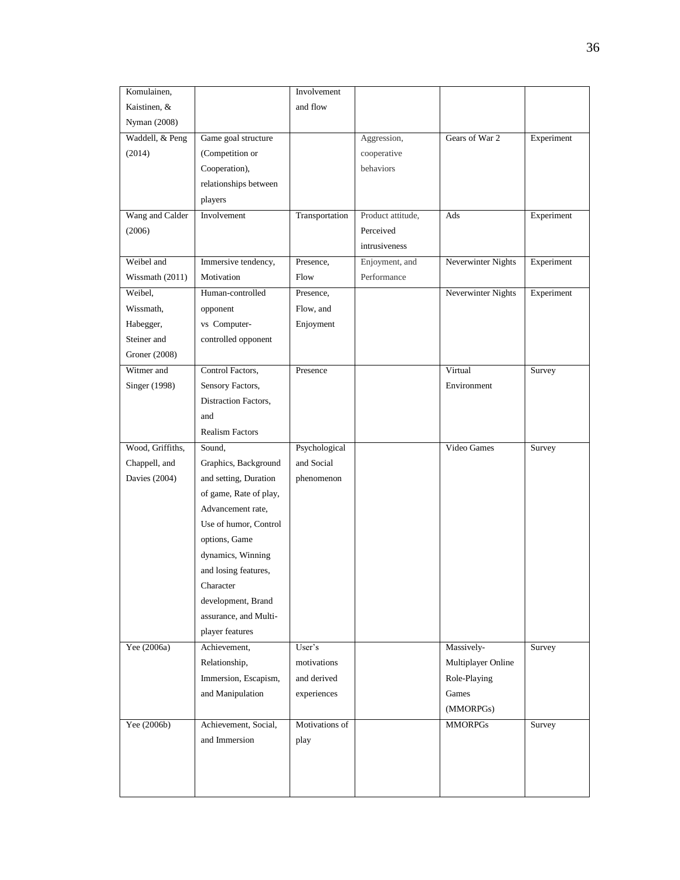| Komulainen,      |                        | Involvement                 |                   |                    |            |
|------------------|------------------------|-----------------------------|-------------------|--------------------|------------|
| Kaistinen, &     |                        | and flow                    |                   |                    |            |
| Nyman (2008)     |                        |                             |                   |                    |            |
| Waddell, & Peng  | Game goal structure    |                             | Aggression,       | Gears of War 2     | Experiment |
| (2014)           | (Competition or        |                             | cooperative       |                    |            |
|                  | Cooperation),          |                             | behaviors         |                    |            |
|                  | relationships between  |                             |                   |                    |            |
|                  | players                |                             |                   |                    |            |
| Wang and Calder  | Involvement            | Transportation              | Product attitude, | Ads                | Experiment |
| (2006)           |                        |                             | Perceived         |                    |            |
|                  |                        |                             | intrusiveness     |                    |            |
| Weibel and       | Immersive tendency,    | Presence,                   | Enjoyment, and    | Neverwinter Nights | Experiment |
| Wissmath (2011)  | Motivation             | Flow                        | Performance       |                    |            |
| Weibel,          | Human-controlled       | Presence,                   |                   | Neverwinter Nights | Experiment |
| Wissmath,        | opponent               | Flow, and                   |                   |                    |            |
| Habegger,        | vs Computer-           | Enjoyment                   |                   |                    |            |
| Steiner and      | controlled opponent    |                             |                   |                    |            |
| Groner (2008)    |                        |                             |                   |                    |            |
| Witmer and       | Control Factors,       | Presence                    |                   | Virtual            | Survey     |
| Singer (1998)    | Sensory Factors,       |                             |                   | Environment        |            |
|                  | Distraction Factors,   |                             |                   |                    |            |
|                  | and                    |                             |                   |                    |            |
|                  | <b>Realism Factors</b> |                             |                   |                    |            |
|                  |                        |                             |                   |                    |            |
|                  | Sound,                 |                             |                   | Video Games        |            |
| Wood, Griffiths, |                        | Psychological<br>and Social |                   |                    | Survey     |
| Chappell, and    | Graphics, Background   |                             |                   |                    |            |
| Davies (2004)    | and setting, Duration  | phenomenon                  |                   |                    |            |
|                  | of game, Rate of play, |                             |                   |                    |            |
|                  | Advancement rate,      |                             |                   |                    |            |
|                  | Use of humor, Control  |                             |                   |                    |            |
|                  | options, Game          |                             |                   |                    |            |
|                  | dynamics, Winning      |                             |                   |                    |            |
|                  | and losing features,   |                             |                   |                    |            |
|                  | Character              |                             |                   |                    |            |
|                  | development, Brand     |                             |                   |                    |            |
|                  | assurance, and Multi-  |                             |                   |                    |            |
|                  | player features        |                             |                   |                    |            |
| Yee (2006a)      | Achievement,           | User's                      |                   | Massively-         | Survey     |
|                  | Relationship,          | motivations                 |                   | Multiplayer Online |            |
|                  | Immersion, Escapism,   | and derived                 |                   | Role-Playing       |            |
|                  | and Manipulation       | experiences                 |                   | Games              |            |
|                  |                        | Motivations of              |                   | (MMORPGs)          |            |
| Yee (2006b)      | Achievement, Social,   |                             |                   | <b>MMORPGs</b>     | Survey     |
|                  | and Immersion          | play                        |                   |                    |            |
|                  |                        |                             |                   |                    |            |
|                  |                        |                             |                   |                    |            |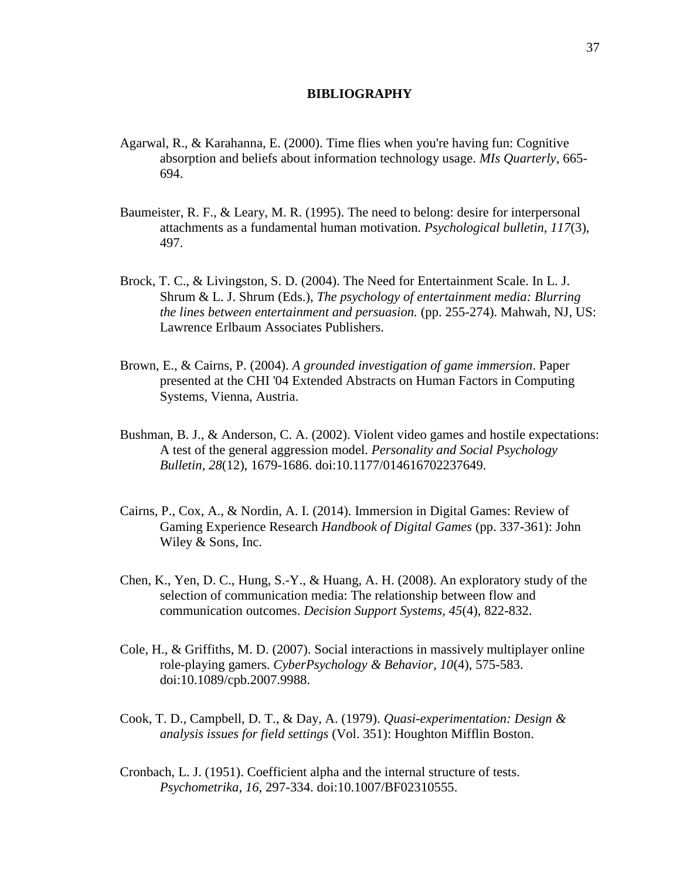#### **BIBLIOGRAPHY**

- Agarwal, R., & Karahanna, E. (2000). Time flies when you're having fun: Cognitive absorption and beliefs about information technology usage. *MIs Quarterly*, 665- 694.
- Baumeister, R. F., & Leary, M. R. (1995). The need to belong: desire for interpersonal attachments as a fundamental human motivation. *Psychological bulletin, 117*(3), 497.
- Brock, T. C., & Livingston, S. D. (2004). The Need for Entertainment Scale. In L. J. Shrum & L. J. Shrum (Eds.), *The psychology of entertainment media: Blurring the lines between entertainment and persuasion.* (pp. 255-274). Mahwah, NJ, US: Lawrence Erlbaum Associates Publishers.
- Brown, E., & Cairns, P. (2004). *A grounded investigation of game immersion*. Paper presented at the CHI '04 Extended Abstracts on Human Factors in Computing Systems, Vienna, Austria.
- Bushman, B. J., & Anderson, C. A. (2002). Violent video games and hostile expectations: A test of the general aggression model. *Personality and Social Psychology Bulletin, 28*(12), 1679-1686. doi:10.1177/014616702237649.
- Cairns, P., Cox, A., & Nordin, A. I. (2014). Immersion in Digital Games: Review of Gaming Experience Research *Handbook of Digital Games* (pp. 337-361): John Wiley & Sons, Inc.
- Chen, K., Yen, D. C., Hung, S.-Y., & Huang, A. H. (2008). An exploratory study of the selection of communication media: The relationship between flow and communication outcomes. *Decision Support Systems, 45*(4), 822-832.
- Cole, H., & Griffiths, M. D. (2007). Social interactions in massively multiplayer online role-playing gamers. *CyberPsychology & Behavior, 10*(4), 575-583. doi:10.1089/cpb.2007.9988.
- Cook, T. D., Campbell, D. T., & Day, A. (1979). *Quasi-experimentation: Design & analysis issues for field settings* (Vol. 351): Houghton Mifflin Boston.
- Cronbach, L. J. (1951). Coefficient alpha and the internal structure of tests. *Psychometrika, 16*, 297-334. doi:10.1007/BF02310555.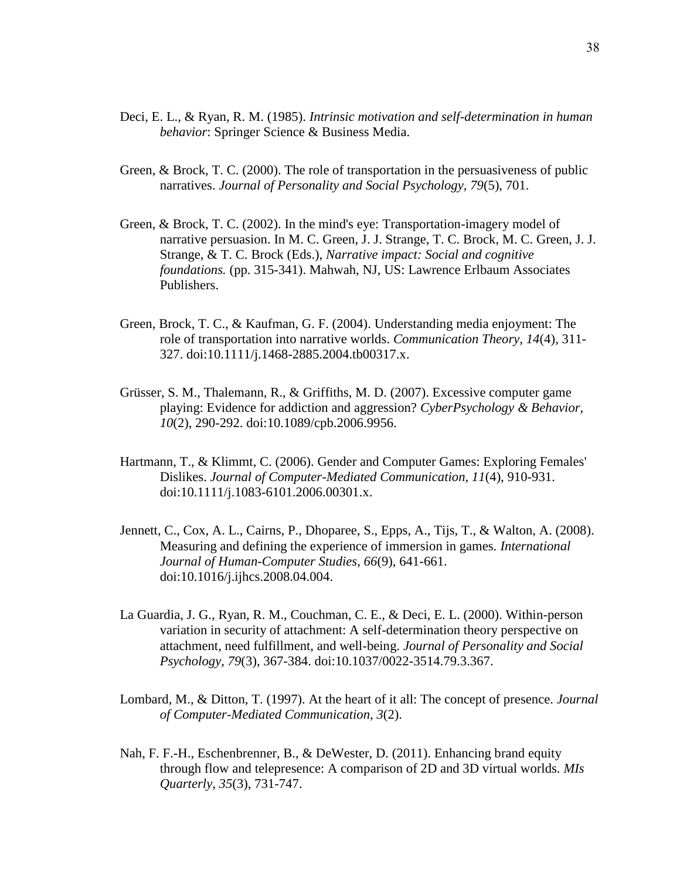- Deci, E. L., & Ryan, R. M. (1985). *Intrinsic motivation and self-determination in human behavior*: Springer Science & Business Media.
- Green, & Brock, T. C. (2000). The role of transportation in the persuasiveness of public narratives. *Journal of Personality and Social Psychology, 79*(5), 701.
- Green, & Brock, T. C. (2002). In the mind's eye: Transportation-imagery model of narrative persuasion. In M. C. Green, J. J. Strange, T. C. Brock, M. C. Green, J. J. Strange, & T. C. Brock (Eds.), *Narrative impact: Social and cognitive foundations.* (pp. 315-341). Mahwah, NJ, US: Lawrence Erlbaum Associates Publishers.
- Green, Brock, T. C., & Kaufman, G. F. (2004). Understanding media enjoyment: The role of transportation into narrative worlds. *Communication Theory, 14*(4), 311- 327. doi:10.1111/j.1468-2885.2004.tb00317.x.
- Grüsser, S. M., Thalemann, R., & Griffiths, M. D. (2007). Excessive computer game playing: Evidence for addiction and aggression? *CyberPsychology & Behavior, 10*(2), 290-292. doi:10.1089/cpb.2006.9956.
- Hartmann, T., & Klimmt, C. (2006). Gender and Computer Games: Exploring Females' Dislikes. *Journal of Computer-Mediated Communication, 11*(4), 910-931. doi:10.1111/j.1083-6101.2006.00301.x.
- Jennett, C., Cox, A. L., Cairns, P., Dhoparee, S., Epps, A., Tijs, T., & Walton, A. (2008). Measuring and defining the experience of immersion in games. *International Journal of Human-Computer Studies, 66*(9), 641-661. doi:10.1016/j.ijhcs.2008.04.004.
- La Guardia, J. G., Ryan, R. M., Couchman, C. E., & Deci, E. L. (2000). Within-person variation in security of attachment: A self-determination theory perspective on attachment, need fulfillment, and well-being. *Journal of Personality and Social Psychology, 79*(3), 367-384. doi:10.1037/0022-3514.79.3.367.
- Lombard, M., & Ditton, T. (1997). At the heart of it all: The concept of presence. *Journal of Computer-Mediated Communication, 3*(2).
- Nah, F. F.-H., Eschenbrenner, B., & DeWester, D. (2011). Enhancing brand equity through flow and telepresence: A comparison of 2D and 3D virtual worlds. *MIs Quarterly, 35*(3), 731-747.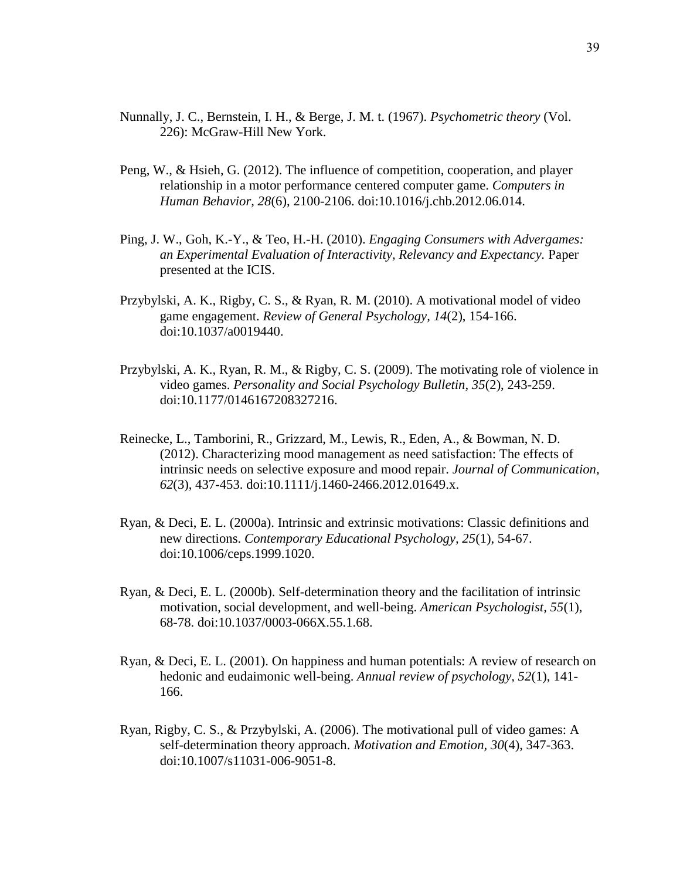- Nunnally, J. C., Bernstein, I. H., & Berge, J. M. t. (1967). *Psychometric theory* (Vol. 226): McGraw-Hill New York.
- Peng, W., & Hsieh, G. (2012). The influence of competition, cooperation, and player relationship in a motor performance centered computer game. *Computers in Human Behavior, 28*(6), 2100-2106. doi:10.1016/j.chb.2012.06.014.
- Ping, J. W., Goh, K.-Y., & Teo, H.-H. (2010). *Engaging Consumers with Advergames: an Experimental Evaluation of Interactivity, Relevancy and Expectancy.* Paper presented at the ICIS.
- Przybylski, A. K., Rigby, C. S., & Ryan, R. M. (2010). A motivational model of video game engagement. *Review of General Psychology, 14*(2), 154-166. doi:10.1037/a0019440.
- Przybylski, A. K., Ryan, R. M., & Rigby, C. S. (2009). The motivating role of violence in video games. *Personality and Social Psychology Bulletin, 35*(2), 243-259. doi:10.1177/0146167208327216.
- Reinecke, L., Tamborini, R., Grizzard, M., Lewis, R., Eden, A., & Bowman, N. D. (2012). Characterizing mood management as need satisfaction: The effects of intrinsic needs on selective exposure and mood repair. *Journal of Communication, 62*(3), 437-453. doi:10.1111/j.1460-2466.2012.01649.x.
- Ryan, & Deci, E. L. (2000a). Intrinsic and extrinsic motivations: Classic definitions and new directions. *Contemporary Educational Psychology, 25*(1), 54-67. doi:10.1006/ceps.1999.1020.
- Ryan, & Deci, E. L. (2000b). Self-determination theory and the facilitation of intrinsic motivation, social development, and well-being. *American Psychologist, 55*(1), 68-78. doi:10.1037/0003-066X.55.1.68.
- Ryan, & Deci, E. L. (2001). On happiness and human potentials: A review of research on hedonic and eudaimonic well-being. *Annual review of psychology, 52*(1), 141- 166.
- Ryan, Rigby, C. S., & Przybylski, A. (2006). The motivational pull of video games: A self-determination theory approach. *Motivation and Emotion, 30*(4), 347-363. doi:10.1007/s11031-006-9051-8.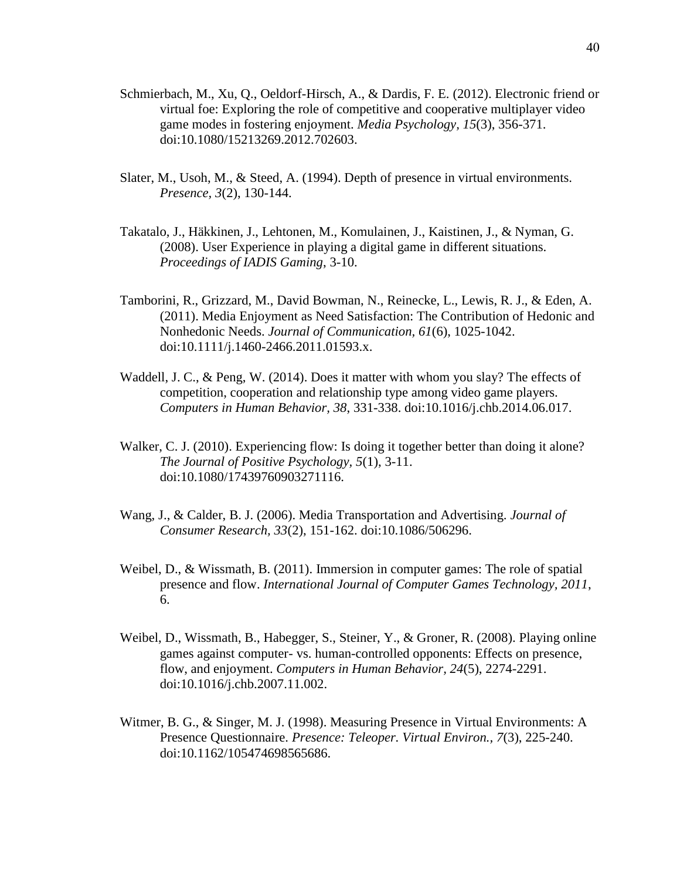- Schmierbach, M., Xu, Q., Oeldorf-Hirsch, A., & Dardis, F. E. (2012). Electronic friend or virtual foe: Exploring the role of competitive and cooperative multiplayer video game modes in fostering enjoyment. *Media Psychology, 15*(3), 356-371. doi:10.1080/15213269.2012.702603.
- Slater, M., Usoh, M., & Steed, A. (1994). Depth of presence in virtual environments. *Presence, 3*(2), 130-144.
- Takatalo, J., Häkkinen, J., Lehtonen, M., Komulainen, J., Kaistinen, J., & Nyman, G. (2008). User Experience in playing a digital game in different situations. *Proceedings of IADIS Gaming*, 3-10.
- Tamborini, R., Grizzard, M., David Bowman, N., Reinecke, L., Lewis, R. J., & Eden, A. (2011). Media Enjoyment as Need Satisfaction: The Contribution of Hedonic and Nonhedonic Needs. *Journal of Communication, 61*(6), 1025-1042. doi:10.1111/j.1460-2466.2011.01593.x.
- Waddell, J. C., & Peng, W. (2014). Does it matter with whom you slay? The effects of competition, cooperation and relationship type among video game players. *Computers in Human Behavior, 38*, 331-338. doi:10.1016/j.chb.2014.06.017.
- Walker, C. J. (2010). Experiencing flow: Is doing it together better than doing it alone? *The Journal of Positive Psychology, 5*(1), 3-11. doi:10.1080/17439760903271116.
- Wang, J., & Calder, B. J. (2006). Media Transportation and Advertising. *Journal of Consumer Research, 33*(2), 151-162. doi:10.1086/506296.
- Weibel, D., & Wissmath, B. (2011). Immersion in computer games: The role of spatial presence and flow. *International Journal of Computer Games Technology, 2011*, 6.
- Weibel, D., Wissmath, B., Habegger, S., Steiner, Y., & Groner, R. (2008). Playing online games against computer- vs. human-controlled opponents: Effects on presence, flow, and enjoyment. *Computers in Human Behavior, 24*(5), 2274-2291. doi:10.1016/j.chb.2007.11.002.
- Witmer, B. G., & Singer, M. J. (1998). Measuring Presence in Virtual Environments: A Presence Questionnaire. *Presence: Teleoper. Virtual Environ., 7*(3), 225-240. doi:10.1162/105474698565686.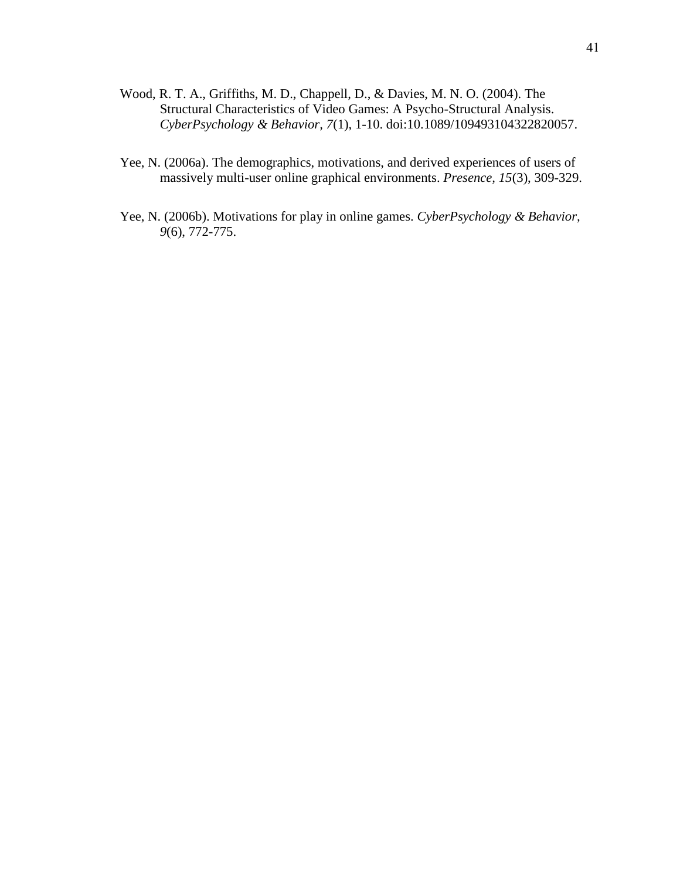- Wood, R. T. A., Griffiths, M. D., Chappell, D., & Davies, M. N. O. (2004). The Structural Characteristics of Video Games: A Psycho-Structural Analysis. *CyberPsychology & Behavior, 7*(1), 1-10. doi:10.1089/109493104322820057.
- Yee, N. (2006a). The demographics, motivations, and derived experiences of users of massively multi-user online graphical environments. *Presence, 15*(3), 309-329.
- Yee, N. (2006b). Motivations for play in online games. *CyberPsychology & Behavior, 9*(6), 772-775.